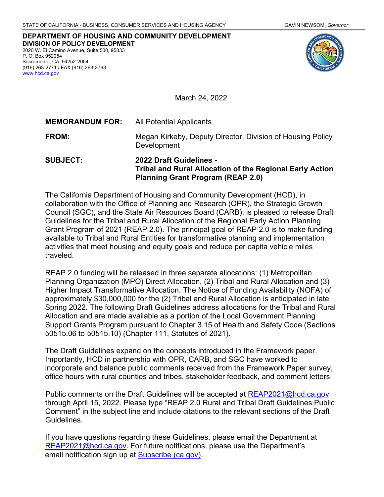**DEPARTMENT OF HOUSING AND COMMUNITY DEVELOPMENT DIVISION OF POLICY DEVELOPMENT** 2020 W. El Camino Avenue, Suite 500, 95833 P. O. Box 952054 Sacramento, CA 94252-2054 (916) 263-2771 / FAX (916) 263-2763 [www.hcd.ca.gov](http://www.hcd.ca.gov/)



March 24, 2022

| <b>SUBJECT:</b>        | <b>2022 Draft Guidelines -</b>                                            |  |  |
|------------------------|---------------------------------------------------------------------------|--|--|
| <b>FROM:</b>           | Megan Kirkeby, Deputy Director, Division of Housing Policy<br>Development |  |  |
| <b>MEMORANDUM FOR:</b> | All Potential Applicants                                                  |  |  |

**Tribal and Rural Allocation of the Regional Early Action Planning Grant Program (REAP 2.0)**

The California Department of Housing and Community Development (HCD), in collaboration with the Office of Planning and Research (OPR), the Strategic Growth Council (SGC), and the State Air Resources Board (CARB), is pleased to release Draft Guidelines for the Tribal and Rural Allocation of the Regional Early Action Planning Grant Program of 2021 (REAP 2.0). The principal goal of REAP 2.0 is to make funding available to Tribal and Rural Entities for transformative planning and implementation activities that meet housing and equity goals and reduce per capita vehicle miles traveled.

REAP 2.0 funding will be released in three separate allocations: (1) Metropolitan Planning Organization (MPO) Direct Allocation, (2) Tribal and Rural Allocation and (3) Higher Impact Transformative Allocation. The Notice of Funding Availability (NOFA) of approximately \$30,000,000 for the (2) Tribal and Rural Allocation is anticipated in late Spring 2022. The following Draft Guidelines address allocations for the Tribal and Rural Allocation and are made available as a portion of the Local Government Planning Support Grants Program pursuant to Chapter 3.15 of Health and Safety Code (Sections 50515.06 to 50515.10) (Chapter 111, Statutes of 2021).

The Draft Guidelines expand on the concepts introduced in the Framework paper. Importantly, HCD in partnership with OPR, CARB, and SGC have worked to incorporate and balance public comments received from the Framework Paper survey, office hours with rural counties and tribes, stakeholder feedback, and comment letters.

Public comments on the Draft Guidelines will be accepted at [REAP2021@hcd.ca.gov](mailto:REAP2021@hcd.ca.gov) through April 15, 2022. Please type "REAP 2.0 Rural and Tribal Draft Guidelines Public Comment" in the subject line and include citations to the relevant sections of the Draft Guidelines.

If you have questions regarding these Guidelines, please email the Department at [REAP2021@hcd.ca.gov.](mailto:REAP2021@hcd.ca.gov) For future notifications, please use the Department's email notification sign up at **Subscribe (ca.gov)**.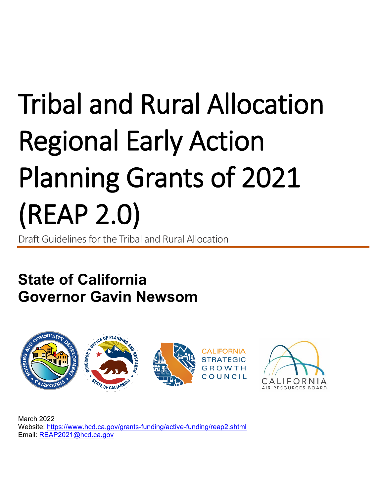# Tribal and Rural Allocation Regional Early Action Planning Grants of 2021 (REAP 2.0)

Draft Guidelines forthe Tribal and Rural Allocation

# **State of California Governor Gavin Newsom**



March 2022 Website: <https://www.hcd.ca.gov/grants-funding/active-funding/reap2.shtml> Email: [REAP2021@hcd.ca.gov](mailto:REAP2021@hcd.ca.gov)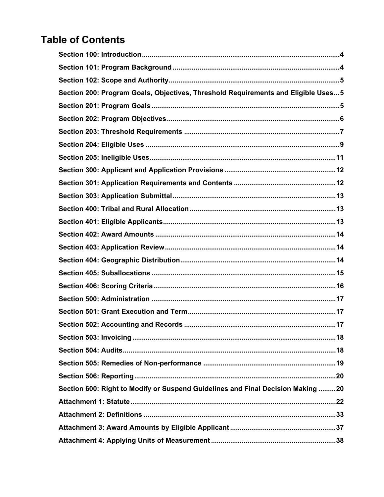# **Table of Contents**

| Section 200: Program Goals, Objectives, Threshold Requirements and Eligible Uses5 |
|-----------------------------------------------------------------------------------|
|                                                                                   |
|                                                                                   |
|                                                                                   |
|                                                                                   |
|                                                                                   |
|                                                                                   |
|                                                                                   |
|                                                                                   |
|                                                                                   |
|                                                                                   |
|                                                                                   |
|                                                                                   |
|                                                                                   |
|                                                                                   |
|                                                                                   |
|                                                                                   |
|                                                                                   |
|                                                                                   |
|                                                                                   |
|                                                                                   |
|                                                                                   |
|                                                                                   |
| Section 600: Right to Modify or Suspend Guidelines and Final Decision Making 20   |
|                                                                                   |
|                                                                                   |
|                                                                                   |
|                                                                                   |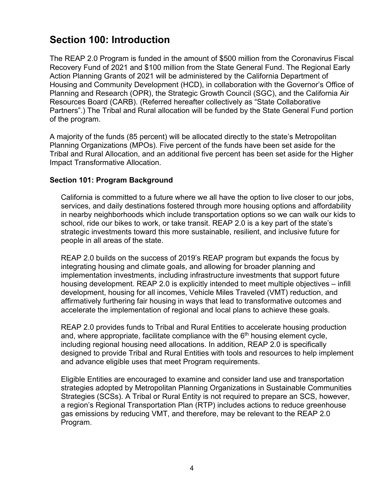# <span id="page-3-0"></span>**Section 100: Introduction**

The REAP 2.0 Program is funded in the amount of \$500 million from the Coronavirus Fiscal Recovery Fund of 2021 and \$100 million from the State General Fund. The Regional Early Action Planning Grants of 2021 will be administered by the California Department of Housing and Community Development (HCD), in collaboration with the Governor's Office of Planning and Research (OPR), the Strategic Growth Council (SGC), and the California Air Resources Board (CARB). (Referred hereafter collectively as "State Collaborative Partners".) The Tribal and Rural allocation will be funded by the State General Fund portion of the program.

A majority of the funds (85 percent) will be allocated directly to the state's Metropolitan Planning Organizations (MPOs). Five percent of the funds have been set aside for the Tribal and Rural Allocation, and an additional five percent has been set aside for the Higher Impact Transformative Allocation.

#### <span id="page-3-1"></span>**Section 101: Program Background**

California is committed to a future where we all have the option to live closer to our jobs, services, and daily destinations fostered through more housing options and affordability in nearby neighborhoods which include transportation options so we can walk our kids to school, ride our bikes to work, or take transit. REAP 2.0 is a key part of the state's strategic investments toward this more sustainable, resilient, and inclusive future for people in all areas of the state.

REAP 2.0 builds on the success of 2019's REAP program but expands the focus by integrating housing and climate goals, and allowing for broader planning and implementation investments, including infrastructure investments that support future housing development. REAP 2.0 is explicitly intended to meet multiple objectives – infill development, housing for all incomes, Vehicle Miles Traveled (VMT) reduction, and affirmatively furthering fair housing in ways that lead to transformative outcomes and accelerate the implementation of regional and local plans to achieve these goals.

REAP 2.0 provides funds to Tribal and Rural Entities to accelerate housing production and, where appropriate, facilitate compliance with the  $6<sup>th</sup>$  housing element cycle, including regional housing need allocations. In addition, REAP 2.0 is specifically designed to provide Tribal and Rural Entities with tools and resources to help implement and advance eligible uses that meet Program requirements.

<span id="page-3-2"></span>Eligible Entities are encouraged to examine and consider land use and transportation strategies adopted by Metropolitan Planning Organizations in Sustainable Communities Strategies (SCSs). A Tribal or Rural Entity is not required to prepare an SCS, however, a region's Regional Transportation Plan (RTP) includes actions to reduce greenhouse gas emissions by reducing VMT, and therefore, may be relevant to the REAP 2.0 Program.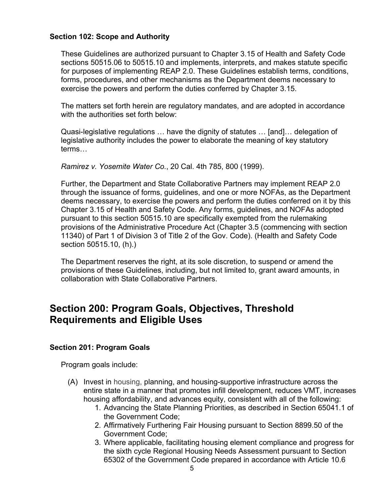#### **Section 102: Scope and Authority**

These Guidelines are authorized pursuant to Chapter 3.15 of Health and Safety Code sections 50515.06 to 50515.10 and implements, interprets, and makes statute specific for purposes of implementing REAP 2.0. These Guidelines establish terms, conditions, forms, procedures, and other mechanisms as the Department deems necessary to exercise the powers and perform the duties conferred by Chapter 3.15.

The matters set forth herein are regulatory mandates, and are adopted in accordance with the authorities set forth below:

Quasi-legislative regulations … have the dignity of statutes … [and]… delegation of legislative authority includes the power to elaborate the meaning of key statutory terms…

*Ramirez v. Yosemite Water Co.*, 20 Cal. 4th 785, 800 (1999).

Further, the Department and State Collaborative Partners may implement REAP 2.0 through the issuance of forms, guidelines, and one or more NOFAs, as the Department deems necessary, to exercise the powers and perform the duties conferred on it by this Chapter 3.15 of Health and Safety Code. Any forms, guidelines, and NOFAs adopted pursuant to this section 50515.10 are specifically exempted from the rulemaking provisions of the Administrative Procedure Act (Chapter 3.5 (commencing with section 11340) of Part 1 of Division 3 of Title 2 of the Gov. Code). (Health and Safety Code section 50515.10, (h).)

The Department reserves the right, at its sole discretion, to suspend or amend the provisions of these Guidelines, including, but not limited to, grant award amounts, in collaboration with State Collaborative Partners.

## <span id="page-4-0"></span>**Section 200: Program Goals, Objectives, Threshold Requirements and Eligible Uses**

#### <span id="page-4-1"></span>**Section 201: Program Goals**

Program goals include:

- (A) Invest in housing, planning, and housing-supportive infrastructure across the entire state in a manner that promotes infill development, reduces VMT, increases housing affordability, and advances equity, consistent with all of the following:
	- 1. Advancing the State Planning Priorities, as described in Section 65041.1 of the Government Code;
	- 2. Affirmatively Furthering Fair Housing pursuant to Section 8899.50 of the Government Code;
	- 3. Where applicable, facilitating housing element compliance and progress for the sixth cycle Regional Housing Needs Assessment pursuant to Section 65302 of the Government Code prepared in accordance with Article 10.6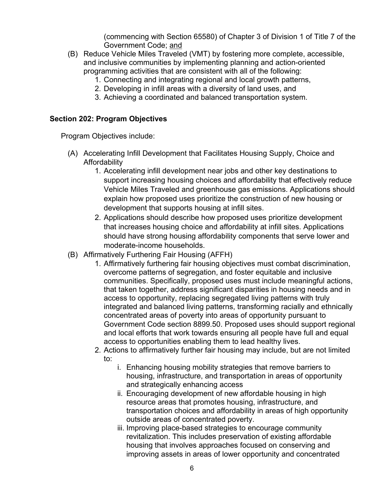(commencing with Section 65580) of Chapter 3 of Division 1 of Title 7 of the Government Code; and

- (B) Reduce Vehicle Miles Traveled (VMT) by fostering more complete, accessible, and inclusive communities by implementing planning and action-oriented programming activities that are consistent with all of the following:
	- 1. Connecting and integrating regional and local growth patterns,
	- 2. Developing in infill areas with a diversity of land uses, and
	- 3. Achieving a coordinated and balanced transportation system.

#### <span id="page-5-0"></span>**Section 202: Program Objectives**

Program Objectives include:

- (A) Accelerating Infill Development that Facilitates Housing Supply, Choice and Affordability
	- 1. Accelerating infill development near jobs and other key destinations to support increasing housing choices and affordability that effectively reduce Vehicle Miles Traveled and greenhouse gas emissions. Applications should explain how proposed uses prioritize the construction of new housing or development that supports housing at infill sites.
	- 2. Applications should describe how proposed uses prioritize development that increases housing choice and affordability at infill sites. Applications should have strong housing affordability components that serve lower and moderate-income households.
- (B) Affirmatively Furthering Fair Housing (AFFH)
	- 1. Affirmatively furthering fair housing objectives must combat discrimination, overcome patterns of segregation, and foster equitable and inclusive communities. Specifically, proposed uses must include meaningful actions, that taken together, address significant disparities in housing needs and in access to opportunity, replacing segregated living patterns with truly integrated and balanced living patterns, transforming racially and ethnically concentrated areas of poverty into areas of opportunity pursuant to Government Code section 8899.50. Proposed uses should support regional and local efforts that work towards ensuring all people have full and equal access to opportunities enabling them to lead healthy lives.
	- 2. Actions to affirmatively further fair housing may include, but are not limited to:
		- i. Enhancing housing mobility strategies that remove barriers to housing, infrastructure, and transportation in areas of opportunity and strategically enhancing access
		- ii. Encouraging development of new affordable housing in high resource areas that promotes housing, infrastructure, and transportation choices and affordability in areas of high opportunity outside areas of concentrated poverty.
		- iii. Improving place-based strategies to encourage community revitalization. This includes preservation of existing affordable housing that involves approaches focused on conserving and improving assets in areas of lower opportunity and concentrated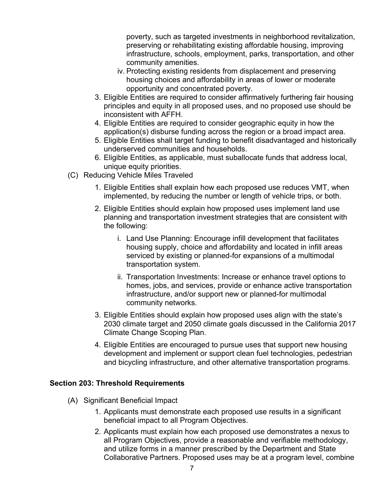poverty, such as targeted investments in neighborhood revitalization, preserving or rehabilitating existing affordable housing, improving infrastructure, schools, employment, parks, transportation, and other community amenities.

- iv. Protecting existing residents from displacement and preserving housing choices and affordability in areas of lower or moderate opportunity and concentrated poverty.
- 3. Eligible Entities are required to consider affirmatively furthering fair housing principles and equity in all proposed uses, and no proposed use should be inconsistent with AFFH.
- 4. Eligible Entities are required to consider geographic equity in how the application(s) disburse funding across the region or a broad impact area.
- 5. Eligible Entities shall target funding to benefit disadvantaged and historically underserved communities and households.
- 6. Eligible Entities, as applicable, must suballocate funds that address local, unique equity priorities.
- (C) Reducing Vehicle Miles Traveled
	- 1. Eligible Entities shall explain how each proposed use reduces VMT, when implemented, by reducing the number or length of vehicle trips, or both.
	- 2. Eligible Entities should explain how proposed uses implement land use planning and transportation investment strategies that are consistent with the following:
		- i. Land Use Planning: Encourage infill development that facilitates housing supply, choice and affordability and located in infill areas serviced by existing or planned-for expansions of a multimodal transportation system.
		- ii. Transportation Investments: Increase or enhance travel options to homes, jobs, and services, provide or enhance active transportation infrastructure, and/or support new or planned-for multimodal community networks.
	- 3. Eligible Entities should explain how proposed uses align with the state's 2030 climate target and 2050 climate goals discussed in the California 2017 Climate Change Scoping Plan.
	- 4. Eligible Entities are encouraged to pursue uses that support new housing development and implement or support clean fuel technologies, pedestrian and bicycling infrastructure, and other alternative transportation programs.

#### <span id="page-6-0"></span>**Section 203: Threshold Requirements**

- (A) Significant Beneficial Impact
	- 1. Applicants must demonstrate each proposed use results in a significant beneficial impact to all Program Objectives.
	- 2. Applicants must explain how each proposed use demonstrates a nexus to all Program Objectives, provide a reasonable and verifiable methodology, and utilize forms in a manner prescribed by the Department and State Collaborative Partners. Proposed uses may be at a program level, combine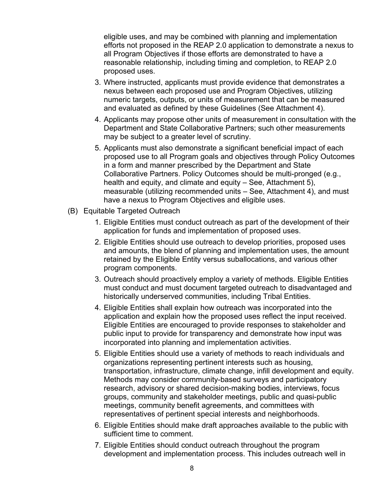eligible uses, and may be combined with planning and implementation efforts not proposed in the REAP 2.0 application to demonstrate a nexus to all Program Objectives if those efforts are demonstrated to have a reasonable relationship, including timing and completion, to REAP 2.0 proposed uses.

- 3. Where instructed, applicants must provide evidence that demonstrates a nexus between each proposed use and Program Objectives, utilizing numeric targets, outputs, or units of measurement that can be measured and evaluated as defined by these Guidelines (See Attachment 4).
- 4. Applicants may propose other units of measurement in consultation with the Department and State Collaborative Partners; such other measurements may be subject to a greater level of scrutiny.
- 5. Applicants must also demonstrate a significant beneficial impact of each proposed use to all Program goals and objectives through Policy Outcomes in a form and manner prescribed by the Department and State Collaborative Partners. Policy Outcomes should be multi-pronged (e.g., health and equity, and climate and equity – See, Attachment 5), measurable (utilizing recommended units – See, Attachment 4), and must have a nexus to Program Objectives and eligible uses.
- (B) Equitable Targeted Outreach
	- 1. Eligible Entities must conduct outreach as part of the development of their application for funds and implementation of proposed uses.
	- 2. Eligible Entities should use outreach to develop priorities, proposed uses and amounts, the blend of planning and implementation uses, the amount retained by the Eligible Entity versus suballocations, and various other program components.
	- 3. Outreach should proactively employ a variety of methods. Eligible Entities must conduct and must document targeted outreach to disadvantaged and historically underserved communities, including Tribal Entities.
	- 4. Eligible Entities shall explain how outreach was incorporated into the application and explain how the proposed uses reflect the input received. Eligible Entities are encouraged to provide responses to stakeholder and public input to provide for transparency and demonstrate how input was incorporated into planning and implementation activities.
	- 5. Eligible Entities should use a variety of methods to reach individuals and organizations representing pertinent interests such as housing, transportation, infrastructure, climate change, infill development and equity. Methods may consider community-based surveys and participatory research, advisory or shared decision-making bodies, interviews, focus groups, community and stakeholder meetings, public and quasi-public meetings, community benefit agreements, and committees with representatives of pertinent special interests and neighborhoods.
	- 6. Eligible Entities should make draft approaches available to the public with sufficient time to comment.
	- 7. Eligible Entities should conduct outreach throughout the program development and implementation process. This includes outreach well in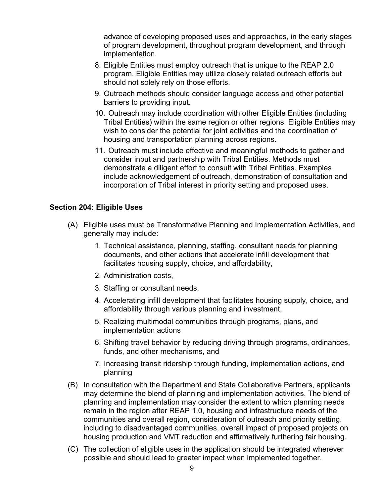advance of developing proposed uses and approaches, in the early stages of program development, throughout program development, and through implementation.

- 8. Eligible Entities must employ outreach that is unique to the REAP 2.0 program. Eligible Entities may utilize closely related outreach efforts but should not solely rely on those efforts.
- 9. Outreach methods should consider language access and other potential barriers to providing input.
- 10. Outreach may include coordination with other Eligible Entities (including Tribal Entities) within the same region or other regions. Eligible Entities may wish to consider the potential for joint activities and the coordination of housing and transportation planning across regions.
- 11. Outreach must include effective and meaningful methods to gather and consider input and partnership with Tribal Entities. Methods must demonstrate a diligent effort to consult with Tribal Entities. Examples include acknowledgement of outreach, demonstration of consultation and incorporation of Tribal interest in priority setting and proposed uses.

#### <span id="page-8-0"></span>**Section 204: Eligible Uses**

- (A) Eligible uses must be Transformative Planning and Implementation Activities, and generally may include:
	- 1. Technical assistance, planning, staffing, consultant needs for planning documents, and other actions that accelerate infill development that facilitates housing supply, choice, and affordability,
	- 2. Administration costs,
	- 3. Staffing or consultant needs,
	- 4. Accelerating infill development that facilitates housing supply, choice, and affordability through various planning and investment,
	- 5. Realizing multimodal communities through programs, plans, and implementation actions
	- 6. Shifting travel behavior by reducing driving through programs, ordinances, funds, and other mechanisms, and
	- 7. Increasing transit ridership through funding, implementation actions, and planning
- (B) In consultation with the Department and State Collaborative Partners, applicants may determine the blend of planning and implementation activities. The blend of planning and implementation may consider the extent to which planning needs remain in the region after REAP 1.0, housing and infrastructure needs of the communities and overall region, consideration of outreach and priority setting, including to disadvantaged communities, overall impact of proposed projects on housing production and VMT reduction and affirmatively furthering fair housing.
- (C) The collection of eligible uses in the application should be integrated wherever possible and should lead to greater impact when implemented together.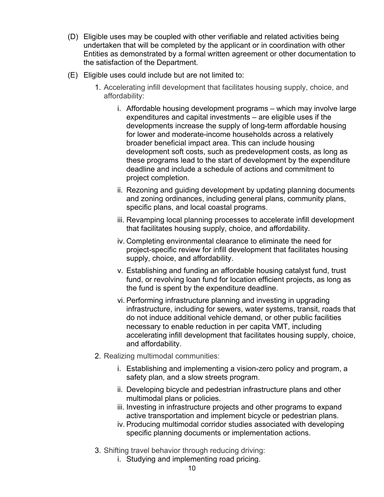- (D) Eligible uses may be coupled with other verifiable and related activities being undertaken that will be completed by the applicant or in coordination with other Entities as demonstrated by a formal written agreement or other documentation to the satisfaction of the Department.
- (E) Eligible uses could include but are not limited to:
	- 1. Accelerating infill development that facilitates housing supply, choice, and affordability:
		- i. Affordable housing development programs which may involve large expenditures and capital investments – are eligible uses if the developments increase the supply of long-term affordable housing for lower and moderate-income households across a relatively broader beneficial impact area. This can include housing development soft costs, such as predevelopment costs, as long as these programs lead to the start of development by the expenditure deadline and include a schedule of actions and commitment to project completion.
		- ii. Rezoning and guiding development by updating planning documents and zoning ordinances, including general plans, community plans, specific plans, and local coastal programs.
		- iii. Revamping local planning processes to accelerate infill development that facilitates housing supply, choice, and affordability.
		- iv. Completing environmental clearance to eliminate the need for project-specific review for infill development that facilitates housing supply, choice, and affordability.
		- v. Establishing and funding an affordable housing catalyst fund, trust fund, or revolving loan fund for location efficient projects, as long as the fund is spent by the expenditure deadline.
		- vi. Performing infrastructure planning and investing in upgrading infrastructure, including for sewers, water systems, transit, roads that do not induce additional vehicle demand, or other public facilities necessary to enable reduction in per capita VMT, including accelerating infill development that facilitates housing supply, choice, and affordability.
	- 2. Realizing multimodal communities:
		- i. Establishing and implementing a vision-zero policy and program, a safety plan, and a slow streets program.
		- ii. Developing bicycle and pedestrian infrastructure plans and other multimodal plans or policies.
		- iii. Investing in infrastructure projects and other programs to expand active transportation and implement bicycle or pedestrian plans.
		- iv. Producing multimodal corridor studies associated with developing specific planning documents or implementation actions.
	- 3. Shifting travel behavior through reducing driving:
		- i. Studying and implementing road pricing.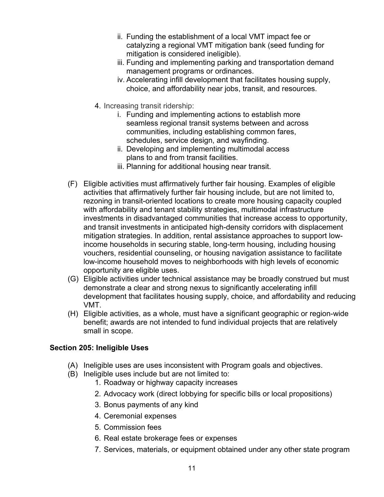- ii. Funding the establishment of a local VMT impact fee or catalyzing a regional VMT mitigation bank (seed funding for mitigation is considered ineligible).
- iii. Funding and implementing parking and transportation demand management programs or ordinances.
- iv. Accelerating infill development that facilitates housing supply, choice, and affordability near jobs, transit, and resources.
- 4. Increasing transit ridership:
	- i. Funding and implementing actions to establish more seamless regional transit systems between and across communities, including establishing common fares, schedules, service design, and wayfinding.
	- ii. Developing and implementing multimodal access plans to and from transit facilities.
	- iii. Planning for additional housing near transit.
- (F) Eligible activities must affirmatively further fair housing. Examples of eligible activities that affirmatively further fair housing include, but are not limited to, rezoning in transit-oriented locations to create more housing capacity coupled with affordability and tenant stability strategies, multimodal infrastructure investments in disadvantaged communities that increase access to opportunity, and transit investments in anticipated high-density corridors with displacement mitigation strategies. In addition, rental assistance approaches to support lowincome households in securing stable, long-term housing, including housing vouchers, residential counseling, or housing navigation assistance to facilitate low-income household moves to neighborhoods with high levels of economic opportunity are eligible uses.
- (G) Eligible activities under technical assistance may be broadly construed but must demonstrate a clear and strong nexus to significantly accelerating infill development that facilitates housing supply, choice, and affordability and reducing VMT.
- (H) Eligible activities, as a whole, must have a significant geographic or region-wide benefit; awards are not intended to fund individual projects that are relatively small in scope.

#### <span id="page-10-0"></span>**Section 205: Ineligible Uses**

- (A) Ineligible uses are uses inconsistent with Program goals and objectives.
- (B) Ineligible uses include but are not limited to:
	- 1. Roadway or highway capacity increases
	- 2. Advocacy work (direct lobbying for specific bills or local propositions)
	- 3. Bonus payments of any kind
	- 4. Ceremonial expenses
	- 5. Commission fees
	- 6. Real estate brokerage fees or expenses
	- 7. Services, materials, or equipment obtained under any other state program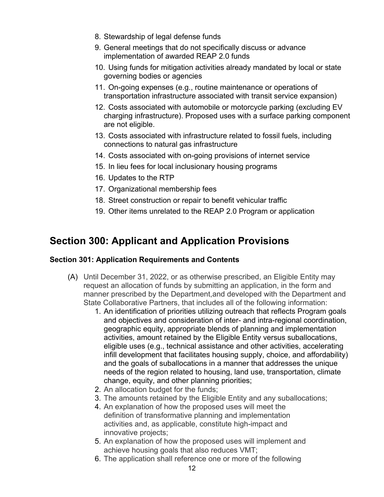- 8. Stewardship of legal defense funds
- 9. General meetings that do not specifically discuss or advance implementation of awarded REAP 2.0 funds
- 10. Using funds for mitigation activities already mandated by local or state governing bodies or agencies
- 11. On-going expenses (e.g., routine maintenance or operations of transportation infrastructure associated with transit service expansion)
- 12. Costs associated with automobile or motorcycle parking (excluding EV charging infrastructure). Proposed uses with a surface parking component are not eligible.
- 13. Costs associated with infrastructure related to fossil fuels, including connections to natural gas infrastructure
- 14. Costs associated with on-going provisions of internet service
- 15. In lieu fees for local inclusionary housing programs
- 16. Updates to the RTP
- 17. Organizational membership fees
- 18. Street construction or repair to benefit vehicular traffic
- 19. Other items unrelated to the REAP 2.0 Program or application

## <span id="page-11-0"></span>**Section 300: Applicant and Application Provisions**

#### <span id="page-11-1"></span>**Section 301: Application Requirements and Contents**

- (A) Until December 31, 2022, or as otherwise prescribed, an Eligible Entity may request an allocation of funds by submitting an application, in the form and manner prescribed by the Department,and developed with the Department and State Collaborative Partners, that includes all of the following information:
	- 1. An identification of priorities utilizing outreach that reflects Program goals and objectives and consideration of inter- and intra-regional coordination, geographic equity, appropriate blends of planning and implementation activities, amount retained by the Eligible Entity versus suballocations, eligible uses (e.g., technical assistance and other activities, accelerating infill development that facilitates housing supply, choice, and affordability) and the goals of suballocations in a manner that addresses the unique needs of the region related to housing, land use, transportation, climate change, equity, and other planning priorities;
	- 2. An allocation budget for the funds;
	- 3. The amounts retained by the Eligible Entity and any suballocations;
	- 4. An explanation of how the proposed uses will meet the definition of transformative planning and implementation activities and, as applicable, constitute high-impact and innovative projects;
	- 5. An explanation of how the proposed uses will implement and achieve housing goals that also reduces VMT;
	- 6. The application shall reference one or more of the following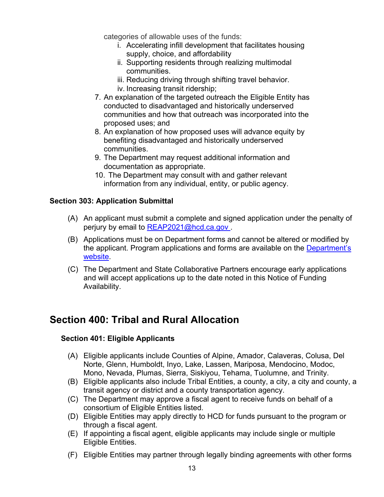categories of allowable uses of the funds:

- i. Accelerating infill development that facilitates housing supply, choice, and affordability
- ii. Supporting residents through realizing multimodal communities.
- iii. Reducing driving through shifting travel behavior.
- iv. Increasing transit ridership;
- 7. An explanation of the targeted outreach the Eligible Entity has conducted to disadvantaged and historically underserved communities and how that outreach was incorporated into the proposed uses; and
- 8. An explanation of how proposed uses will advance equity by benefiting disadvantaged and historically underserved communities.
- 9. The Department may request additional information and documentation as appropriate.
- 10. The Department may consult with and gather relevant information from any individual, entity, or public agency.

#### <span id="page-12-0"></span>**Section 303: Application Submittal**

- (A) An applicant must submit a complete and signed application under the penalty of perjury by email to REAP2021@hcd.ca.gov.
- (B) Applications must be on Department forms and cannot be altered or modified by the applicant. Program applications and forms are available on the [Department's](https://www.hcd.ca.gov/grants-funding/active-funding/reap2.shtml) [website.](https://www.hcd.ca.gov/grants-funding/active-funding/reap.shtml)
- (C) The Department and State Collaborative Partners encourage early applications and will accept applications up to the date noted in this Notice of Funding Availability.

## <span id="page-12-2"></span><span id="page-12-1"></span>**Section 400: Tribal and Rural Allocation**

#### **Section 401: Eligible Applicants**

- (A) Eligible applicants include Counties of Alpine, Amador, Calaveras, Colusa, Del Norte, Glenn, Humboldt, Inyo, Lake, Lassen, Mariposa, Mendocino, Modoc, Mono, Nevada, Plumas, Sierra, Siskiyou, Tehama, Tuolumne, and Trinity.
- (B) Eligible applicants also include Tribal Entities, a county, a city, a city and county, a transit agency or district and a county transportation agency.
- (C) The Department may approve a fiscal agent to receive funds on behalf of a consortium of Eligible Entities listed.
- (D) Eligible Entities may apply directly to HCD for funds pursuant to the program or through a fiscal agent.
- (E) If appointing a fiscal agent, eligible applicants may include single or multiple Eligible Entities.
- (F) Eligible Entities may partner through legally binding agreements with other forms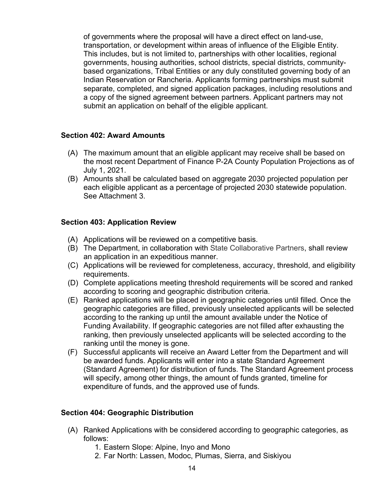of governments where the proposal will have a direct effect on land-use, transportation, or development within areas of influence of the Eligible Entity. This includes, but is not limited to, partnerships with other localities, regional governments, housing authorities, school districts, special districts, communitybased organizations, Tribal Entities or any duly constituted governing body of an Indian Reservation or Rancheria. Applicants forming partnerships must submit separate, completed, and signed application packages, including resolutions and a copy of the signed agreement between partners. Applicant partners may not submit an application on behalf of the eligible applicant.

#### <span id="page-13-0"></span>**Section 402: Award Amounts**

- (A) The maximum amount that an eligible applicant may receive shall be based on the most recent Department of Finance P-2A County Population Projections as of July 1, 2021.
- (B) Amounts shall be calculated based on aggregate 2030 projected population per each eligible applicant as a percentage of projected 2030 statewide population. See Attachment 3.

#### <span id="page-13-1"></span>**Section 403: Application Review**

- (A) Applications will be reviewed on a competitive basis.
- (B) The Department, in collaboration with State Collaborative Partners, shall review an application in an expeditious manner.
- (C) Applications will be reviewed for completeness, accuracy, threshold, and eligibility requirements.
- (D) Complete applications meeting threshold requirements will be scored and ranked according to scoring and geographic distribution criteria.
- (E) Ranked applications will be placed in geographic categories until filled. Once the geographic categories are filled, previously unselected applicants will be selected according to the ranking up until the amount available under the Notice of Funding Availability. If geographic categories are not filled after exhausting the ranking, then previously unselected applicants will be selected according to the ranking until the money is gone.
- (F) Successful applicants will receive an Award Letter from the Department and will be awarded funds. Applicants will enter into a state Standard Agreement (Standard Agreement) for distribution of funds. The Standard Agreement process will specify, among other things, the amount of funds granted, timeline for expenditure of funds, and the approved use of funds.

#### <span id="page-13-2"></span>**Section 404: Geographic Distribution**

- (A) Ranked Applications with be considered according to geographic categories, as follows:
	- 1. Eastern Slope: Alpine, Inyo and Mono
	- 2. Far North: Lassen, Modoc, Plumas, Sierra, and Siskiyou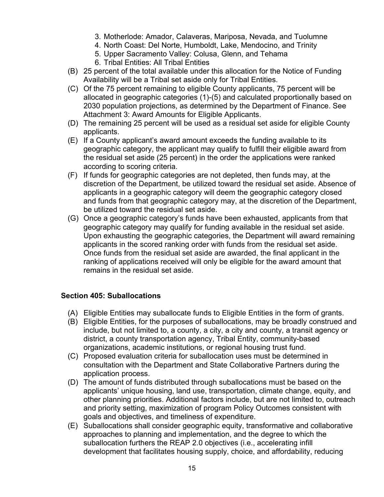- 3. Motherlode: Amador, Calaveras, Mariposa, Nevada, and Tuolumne
- 4. North Coast: Del Norte, Humboldt, Lake, Mendocino, and Trinity
- 5. Upper Sacramento Valley: Colusa, Glenn, and Tehama
- 6. Tribal Entities: All Tribal Entities
- (B) 25 percent of the total available under this allocation for the Notice of Funding Availability will be a Tribal set aside only for Tribal Entities.
- (C) Of the 75 percent remaining to eligible County applicants, 75 percent will be allocated in geographic categories (1)-(5) and calculated proportionally based on 2030 population projections, as determined by the Department of Finance. See Attachment 3: Award Amounts for Eligible Applicants.
- (D) The remaining 25 percent will be used as a residual set aside for eligible County applicants.
- (E) If a County applicant's award amount exceeds the funding available to its geographic category, the applicant may qualify to fulfill their eligible award from the residual set aside (25 percent) in the order the applications were ranked according to scoring criteria.
- (F) If funds for geographic categories are not depleted, then funds may, at the discretion of the Department, be utilized toward the residual set aside. Absence of applicants in a geographic category will deem the geographic category closed and funds from that geographic category may, at the discretion of the Department, be utilized toward the residual set aside.
- (G) Once a geographic category's funds have been exhausted, applicants from that geographic category may qualify for funding available in the residual set aside. Upon exhausting the geographic categories, the Department will award remaining applicants in the scored ranking order with funds from the residual set aside. Once funds from the residual set aside are awarded, the final applicant in the ranking of applications received will only be eligible for the award amount that remains in the residual set aside.

#### <span id="page-14-0"></span>**Section 405: Suballocations**

- (A) Eligible Entities may suballocate funds to Eligible Entities in the form of grants.
- (B) Eligible Entities, for the purposes of suballocations, may be broadly construed and include, but not limited to, a county, a city, a city and county, a transit agency or district, a county transportation agency, Tribal Entity, community-based organizations, academic institutions, or regional housing trust fund.
- (C) Proposed evaluation criteria for suballocation uses must be determined in consultation with the Department and State Collaborative Partners during the application process.
- (D) The amount of funds distributed through suballocations must be based on the applicants' unique housing, land use, transportation, climate change, equity, and other planning priorities. Additional factors include, but are not limited to, outreach and priority setting, maximization of program Policy Outcomes consistent with goals and objectives, and timeliness of expenditure.
- (E) Suballocations shall consider geographic equity, transformative and collaborative approaches to planning and implementation, and the degree to which the suballocation furthers the REAP 2.0 objectives (i.e., accelerating infill development that facilitates housing supply, choice, and affordability, reducing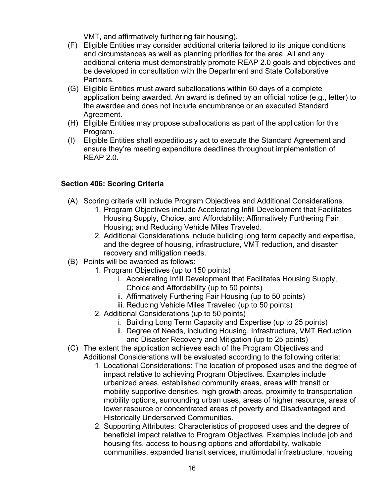VMT, and affirmatively furthering fair housing).

- (F) Eligible Entities may consider additional criteria tailored to its unique conditions and circumstances as well as planning priorities for the area. All and any additional criteria must demonstrably promote REAP 2.0 goals and objectives and be developed in consultation with the Department and State Collaborative Partners.
- (G) Eligible Entities must award suballocations within 60 days of a complete application being awarded. An award is defined by an official notice (e.g., letter) to the awardee and does not include encumbrance or an executed Standard Agreement.
- (H) Eligible Entities may propose suballocations as part of the application for this Program.
- (I) Eligible Entities shall expeditiously act to execute the Standard Agreement and ensure they're meeting expenditure deadlines throughout implementation of REAP 2.0.

#### <span id="page-15-0"></span>**Section 406: Scoring Criteria**

- (A) Scoring criteria will include Program Objectives and Additional Considerations.
	- 1. Program Objectives include Accelerating Infill Development that Facilitates Housing Supply, Choice, and Affordability; Affirmatively Furthering Fair Housing; and Reducing Vehicle Miles Traveled.
	- 2. Additional Considerations include building long term capacity and expertise, and the degree of housing, infrastructure, VMT reduction, and disaster recovery and mitigation needs.
- (B) Points will be awarded as follows:
	- 1. Program Objectives (up to 150 points)
		- i. Accelerating Infill Development that Facilitates Housing Supply, Choice and Affordability (up to 50 points)
		- ii. Affirmatively Furthering Fair Housing (up to 50 points)
		- iii. Reducing Vehicle Miles Traveled (up to 50 points)
	- 2. Additional Considerations (up to 50 points)
		- i. Building Long Term Capacity and Expertise (up to 25 points)
		- ii. Degree of Needs, including Housing, Infrastructure, VMT Reduction and Disaster Recovery and Mitigation (up to 25 points)
- (C) The extent the application achieves each of the Program Objectives and Additional Considerations will be evaluated according to the following criteria:
	- 1. Locational Considerations: The location of proposed uses and the degree of impact relative to achieving Program Objectives. Examples include urbanized areas, established community areas, areas with transit or mobility supportive densities, high growth areas, proximity to transportation mobility options, surrounding urban uses, areas of higher resource, areas of lower resource or concentrated areas of poverty and Disadvantaged and Historically Underserved Communities.
	- 2. Supporting Attributes: Characteristics of proposed uses and the degree of beneficial impact relative to Program Objectives. Examples include job and housing fits, access to housing options and affordability, walkable communities, expanded transit services, multimodal infrastructure, housing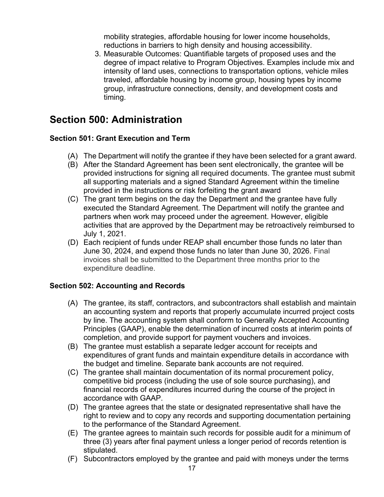mobility strategies, affordable housing for lower income households, reductions in barriers to high density and housing accessibility.

3. Measurable Outcomes: Quantifiable targets of proposed uses and the degree of impact relative to Program Objectives. Examples include mix and intensity of land uses, connections to transportation options, vehicle miles traveled, affordable housing by income group, housing types by income group, infrastructure connections, density, and development costs and timing.

## <span id="page-16-0"></span>**Section 500: Administration**

#### <span id="page-16-1"></span>**Section 501: Grant Execution and Term**

- (A) The Department will notify the grantee if they have been selected for a grant award.
- (B) After the Standard Agreement has been sent electronically, the grantee will be provided instructions for signing all required documents. The grantee must submit all supporting materials and a signed Standard Agreement within the timeline provided in the instructions or risk forfeiting the grant award
- (C) The grant term begins on the day the Department and the grantee have fully executed the Standard Agreement. The Department will notify the grantee and partners when work may proceed under the agreement. However, eligible activities that are approved by the Department may be retroactively reimbursed to July 1, 2021.
- (D) Each recipient of funds under REAP shall encumber those funds no later than June 30, 2024, and expend those funds no later than June 30, 2026. Final invoices shall be submitted to the Department three months prior to the expenditure deadline.

#### <span id="page-16-2"></span>**Section 502: Accounting and Records**

- (A) The grantee, its staff, contractors, and subcontractors shall establish and maintain an accounting system and reports that properly accumulate incurred project costs by line. The accounting system shall conform to Generally Accepted Accounting Principles (GAAP), enable the determination of incurred costs at interim points of completion, and provide support for payment vouchers and invoices.
- (B) The grantee must establish a separate ledger account for receipts and expenditures of grant funds and maintain expenditure details in accordance with the budget and timeline. Separate bank accounts are not required.
- (C) The grantee shall maintain documentation of its normal procurement policy, competitive bid process (including the use of sole source purchasing), and financial records of expenditures incurred during the course of the project in accordance with GAAP.
- (D) The grantee agrees that the state or designated representative shall have the right to review and to copy any records and supporting documentation pertaining to the performance of the Standard Agreement.
- (E) The grantee agrees to maintain such records for possible audit for a minimum of three (3) years after final payment unless a longer period of records retention is stipulated.
- (F) Subcontractors employed by the grantee and paid with moneys under the terms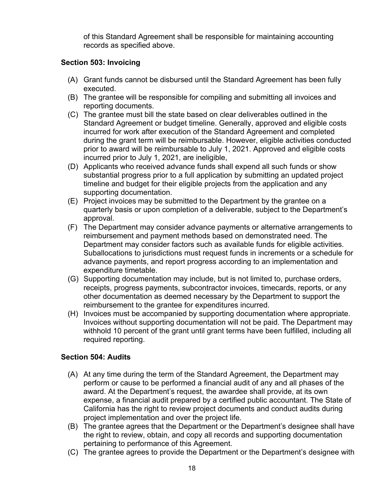of this Standard Agreement shall be responsible for maintaining accounting records as specified above.

#### <span id="page-17-0"></span>**Section 503: Invoicing**

- (A) Grant funds cannot be disbursed until the Standard Agreement has been fully executed.
- (B) The grantee will be responsible for compiling and submitting all invoices and reporting documents.
- (C) The grantee must bill the state based on clear deliverables outlined in the Standard Agreement or budget timeline. Generally, approved and eligible costs incurred for work after execution of the Standard Agreement and completed during the grant term will be reimbursable. However, eligible activities conducted prior to award will be reimbursable to July 1, 2021. Approved and eligible costs incurred prior to July 1, 2021, are ineligible,
- (D) Applicants who received advance funds shall expend all such funds or show substantial progress prior to a full application by submitting an updated project timeline and budget for their eligible projects from the application and any supporting documentation.
- (E) Project invoices may be submitted to the Department by the grantee on a quarterly basis or upon completion of a deliverable, subject to the Department's approval.
- (F) The Department may consider advance payments or alternative arrangements to reimbursement and payment methods based on demonstrated need. The Department may consider factors such as available funds for eligible activities. Suballocations to jurisdictions must request funds in increments or a schedule for advance payments, and report progress according to an implementation and expenditure timetable.
- (G) Supporting documentation may include, but is not limited to, purchase orders, receipts, progress payments, subcontractor invoices, timecards, reports, or any other documentation as deemed necessary by the Department to support the reimbursement to the grantee for expenditures incurred.
- (H) Invoices must be accompanied by supporting documentation where appropriate. Invoices without supporting documentation will not be paid. The Department may withhold 10 percent of the grant until grant terms have been fulfilled, including all required reporting.

#### <span id="page-17-1"></span>**Section 504: Audits**

- (A) At any time during the term of the Standard Agreement, the Department may perform or cause to be performed a financial audit of any and all phases of the award. At the Department's request, the awardee shall provide, at its own expense, a financial audit prepared by a certified public accountant. The State of California has the right to review project documents and conduct audits during project implementation and over the project life.
- (B) The grantee agrees that the Department or the Department's designee shall have the right to review, obtain, and copy all records and supporting documentation pertaining to performance of this Agreement.
- (C) The grantee agrees to provide the Department or the Department's designee with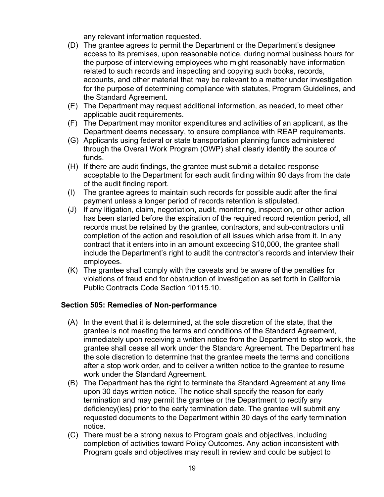any relevant information requested.

- (D) The grantee agrees to permit the Department or the Department's designee access to its premises, upon reasonable notice, during normal business hours for the purpose of interviewing employees who might reasonably have information related to such records and inspecting and copying such books, records, accounts, and other material that may be relevant to a matter under investigation for the purpose of determining compliance with statutes, Program Guidelines, and the Standard Agreement.
- (E) The Department may request additional information, as needed, to meet other applicable audit requirements.
- (F) The Department may monitor expenditures and activities of an applicant, as the Department deems necessary, to ensure compliance with REAP requirements.
- (G) Applicants using federal or state transportation planning funds administered through the Overall Work Program (OWP) shall clearly identify the source of funds.
- (H) If there are audit findings, the grantee must submit a detailed response acceptable to the Department for each audit finding within 90 days from the date of the audit finding report.
- (I) The grantee agrees to maintain such records for possible audit after the final payment unless a longer period of records retention is stipulated.
- (J) If any litigation, claim, negotiation, audit, monitoring, inspection, or other action has been started before the expiration of the required record retention period, all records must be retained by the grantee, contractors, and sub-contractors until completion of the action and resolution of all issues which arise from it. In any contract that it enters into in an amount exceeding \$10,000, the grantee shall include the Department's right to audit the contractor's records and interview their employees.
- (K) The grantee shall comply with the caveats and be aware of the penalties for violations of fraud and for obstruction of investigation as set forth in California Public Contracts Code Section 10115.10.

#### <span id="page-18-0"></span>**Section 505: Remedies of Non-performance**

- (A) In the event that it is determined, at the sole discretion of the state, that the grantee is not meeting the terms and conditions of the Standard Agreement, immediately upon receiving a written notice from the Department to stop work, the grantee shall cease all work under the Standard Agreement. The Department has the sole discretion to determine that the grantee meets the terms and conditions after a stop work order, and to deliver a written notice to the grantee to resume work under the Standard Agreement.
- (B) The Department has the right to terminate the Standard Agreement at any time upon 30 days written notice. The notice shall specify the reason for early termination and may permit the grantee or the Department to rectify any deficiency(ies) prior to the early termination date. The grantee will submit any requested documents to the Department within 30 days of the early termination notice.
- (C) There must be a strong nexus to Program goals and objectives, including completion of activities toward Policy Outcomes. Any action inconsistent with Program goals and objectives may result in review and could be subject to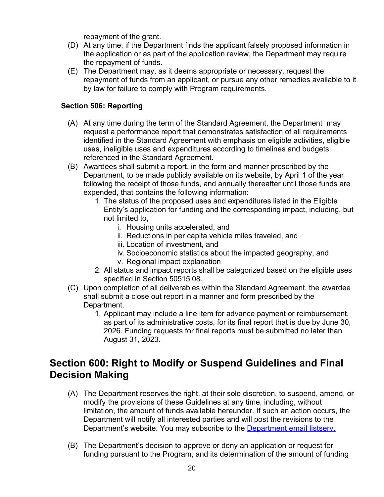repayment of the grant.

- (D) At any time, if the Department finds the applicant falsely proposed information in the application or as part of the application review, the Department may require the repayment of funds.
- (E) The Department may, as it deems appropriate or necessary, request the repayment of funds from an applicant, or pursue any other remedies available to it by law for failure to comply with Program requirements.

#### <span id="page-19-0"></span>**Section 506: Reporting**

- (A) At any time during the term of the Standard Agreement, the Department may request a performance report that demonstrates satisfaction of all requirements identified in the Standard Agreement with emphasis on eligible activities, eligible uses, ineligible uses and expenditures according to timelines and budgets referenced in the Standard Agreement.
- (B) Awardees shall submit a report, in the form and manner prescribed by the Department, to be made publicly available on its website, by April 1 of the year following the receipt of those funds, and annually thereafter until those funds are expended, that contains the following information:
	- 1. The status of the proposed uses and expenditures listed in the Eligible Entity's application for funding and the corresponding impact, including, but not limited to,
		- i. Housing units accelerated, and
		- ii. Reductions in per capita vehicle miles traveled, and
		- iii. Location of investment, and
		- iv. Socioeconomic statistics about the impacted geography, and
		- v. Regional impact explanation
	- 2. All status and impact reports shall be categorized based on the eligible uses specified in Section 50515.08.
- (C) Upon completion of all deliverables within the Standard Agreement, the awardee shall submit a close out report in a manner and form prescribed by the Department.
	- 1. Applicant may include a line item for advance payment or reimbursement, as part of its administrative costs, for its final report that is due by June 30, 2026. Funding requests for final reports must be submitted no later than August 31, 2023.

## <span id="page-19-1"></span>**Section 600: Right to Modify or Suspend Guidelines and Final Decision Making**

- (A) The Department reserves the right, at their sole discretion, to suspend, amend, or modify the provisions of these Guidelines at any time, including, without limitation, the amount of funds available hereunder. If such an action occurs, the Department will notify all interested parties and will post the revisions to the Department's website. You may subscribe to the [Department email listserv.](https://www.hcd.ca.gov/i-am/sub_email.shtml)
- (B) The Department's decision to approve or deny an application or request for funding pursuant to the Program, and its determination of the amount of funding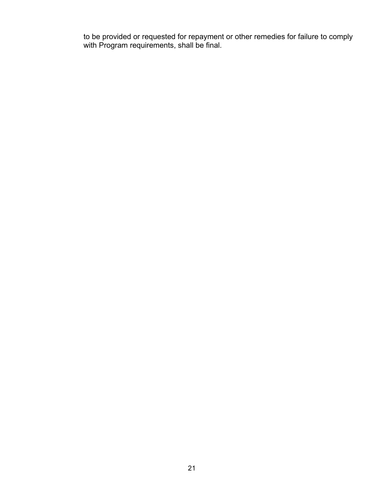to be provided or requested for repayment or other remedies for failure to comply with Program requirements, shall be final.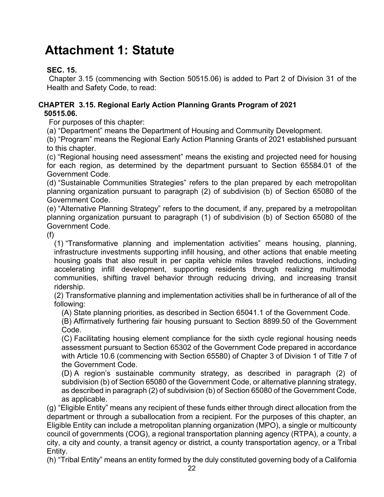# <span id="page-21-0"></span>**Attachment 1: Statute**

#### **SEC. 15.**

Chapter 3.15 (commencing with Section 50515.06) is added to Part 2 of Division 31 of the Health and Safety Code, to read:

#### **CHAPTER 3.15. Regional Early Action Planning Grants Program of 2021 50515.06.**

For purposes of this chapter:

(a) "Department" means the Department of Housing and Community Development.

(b) "Program" means the Regional Early Action Planning Grants of 2021 established pursuant to this chapter.

(c) "Regional housing need assessment" means the existing and projected need for housing for each region, as determined by the department pursuant to Section 65584.01 of the Government Code.

(d) "Sustainable Communities Strategies" refers to the plan prepared by each metropolitan planning organization pursuant to paragraph (2) of subdivision (b) of Section 65080 of the Government Code.

(e) "Alternative Planning Strategy" refers to the document, if any, prepared by a metropolitan planning organization pursuant to paragraph (1) of subdivision (b) of Section 65080 of the Government Code.

(f)

(1) "Transformative planning and implementation activities" means housing, planning, infrastructure investments supporting infill housing, and other actions that enable meeting housing goals that also result in per capita vehicle miles traveled reductions, including accelerating infill development, supporting residents through realizing multimodal communities, shifting travel behavior through reducing driving, and increasing transit ridership.

(2) Transformative planning and implementation activities shall be in furtherance of all of the following:

(A) State planning priorities, as described in Section 65041.1 of the Government Code.

(B) Affirmatively furthering fair housing pursuant to Section 8899.50 of the Government Code.

(C) Facilitating housing element compliance for the sixth cycle regional housing needs assessment pursuant to Section 65302 of the Government Code prepared in accordance with Article 10.6 (commencing with Section 65580) of Chapter 3 of Division 1 of Title 7 of the Government Code.

(D) A region's sustainable community strategy, as described in paragraph (2) of subdivision (b) of Section 65080 of the Government Code, or alternative planning strategy, as described in paragraph (2) of subdivision (b) of Section 65080 of the Government Code, as applicable.

(g) "Eligible Entity" means any recipient of these funds either through direct allocation from the department or through a suballocation from a recipient. For the purposes of this chapter, an Eligible Entity can include a metropolitan planning organization (MPO), a single or multicounty council of governments (COG), a regional transportation planning agency (RTPA), a county, a city, a city and county, a transit agency or district, a county transportation agency, or a Tribal Entity.

(h) "Tribal Entity" means an entity formed by the duly constituted governing body of a California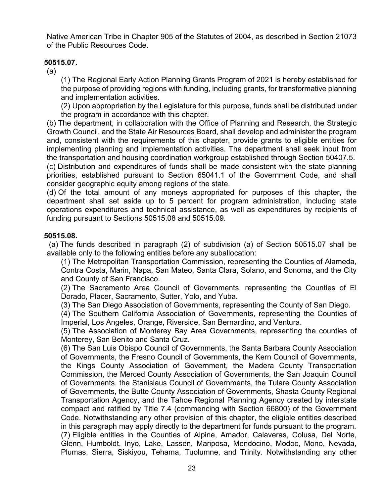Native American Tribe in Chapter 905 of the Statutes of 2004, as described in Section 21073 of the Public Resources Code.

#### **50515.07.**

(a)

(1) The Regional Early Action Planning Grants Program of 2021 is hereby established for the purpose of providing regions with funding, including grants, for transformative planning and implementation activities.

(2) Upon appropriation by the Legislature for this purpose, funds shall be distributed under the program in accordance with this chapter.

(b) The department, in collaboration with the Office of Planning and Research, the Strategic Growth Council, and the State Air Resources Board, shall develop and administer the program and, consistent with the requirements of this chapter, provide grants to eligible entities for implementing planning and implementation activities. The department shall seek input from the transportation and housing coordination workgroup established through Section 50407.5.

(c) Distribution and expenditures of funds shall be made consistent with the state planning priorities, established pursuant to Section 65041.1 of the Government Code, and shall consider geographic equity among regions of the state.

(d) Of the total amount of any moneys appropriated for purposes of this chapter, the department shall set aside up to 5 percent for program administration, including state operations expenditures and technical assistance, as well as expenditures by recipients of funding pursuant to Sections 50515.08 and 50515.09.

#### **50515.08.**

(a) The funds described in paragraph (2) of subdivision (a) of Section 50515.07 shall be available only to the following entities before any suballocation:

(1) The Metropolitan Transportation Commission, representing the Counties of Alameda, Contra Costa, Marin, Napa, San Mateo, Santa Clara, Solano, and Sonoma, and the City and County of San Francisco.

(2) The Sacramento Area Council of Governments, representing the Counties of El Dorado, Placer, Sacramento, Sutter, Yolo, and Yuba.

(3) The San Diego Association of Governments, representing the County of San Diego.

(4) The Southern California Association of Governments, representing the Counties of Imperial, Los Angeles, Orange, Riverside, San Bernardino, and Ventura.

(5) The Association of Monterey Bay Area Governments, representing the counties of Monterey, San Benito and Santa Cruz.

(6) The San Luis Obispo Council of Governments, the Santa Barbara County Association of Governments, the Fresno Council of Governments, the Kern Council of Governments, the Kings County Association of Government, the Madera County Transportation Commission, the Merced County Association of Governments, the San Joaquin Council of Governments, the Stanislaus Council of Governments, the Tulare County Association of Governments, the Butte County Association of Governments, Shasta County Regional Transportation Agency, and the Tahoe Regional Planning Agency created by interstate compact and ratified by Title 7.4 (commencing with Section 66800) of the Government Code. Notwithstanding any other provision of this chapter, the eligible entities described in this paragraph may apply directly to the department for funds pursuant to the program. (7) Eligible entities in the Counties of Alpine, Amador, Calaveras, Colusa, Del Norte, Glenn, Humboldt, Inyo, Lake, Lassen, Mariposa, Mendocino, Modoc, Mono, Nevada, Plumas, Sierra, Siskiyou, Tehama, Tuolumne, and Trinity. Notwithstanding any other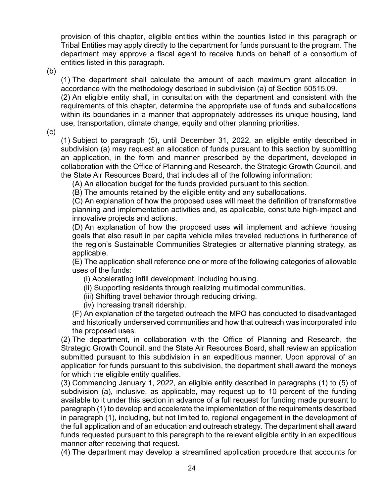provision of this chapter, eligible entities within the counties listed in this paragraph or Tribal Entities may apply directly to the department for funds pursuant to the program. The department may approve a fiscal agent to receive funds on behalf of a consortium of entities listed in this paragraph.

(b)

(1) The department shall calculate the amount of each maximum grant allocation in accordance with the methodology described in subdivision (a) of Section 50515.09.

(2) An eligible entity shall, in consultation with the department and consistent with the requirements of this chapter, determine the appropriate use of funds and suballocations within its boundaries in a manner that appropriately addresses its unique housing, land use, transportation, climate change, equity and other planning priorities.

(c)

(1) Subject to paragraph (5), until December 31, 2022, an eligible entity described in subdivision (a) may request an allocation of funds pursuant to this section by submitting an application, in the form and manner prescribed by the department, developed in collaboration with the Office of Planning and Research, the Strategic Growth Council, and the State Air Resources Board, that includes all of the following information:

(A) An allocation budget for the funds provided pursuant to this section.

(B) The amounts retained by the eligible entity and any suballocations.

(C) An explanation of how the proposed uses will meet the definition of transformative planning and implementation activities and, as applicable, constitute high-impact and innovative projects and actions.

(D) An explanation of how the proposed uses will implement and achieve housing goals that also result in per capita vehicle miles traveled reductions in furtherance of the region's Sustainable Communities Strategies or alternative planning strategy, as applicable.

(E) The application shall reference one or more of the following categories of allowable uses of the funds:

(i) Accelerating infill development, including housing.

- (ii) Supporting residents through realizing multimodal communities.
- (iii) Shifting travel behavior through reducing driving.
- (iv) Increasing transit ridership.

(F) An explanation of the targeted outreach the MPO has conducted to disadvantaged and historically underserved communities and how that outreach was incorporated into the proposed uses.

(2) The department, in collaboration with the Office of Planning and Research, the Strategic Growth Council, and the State Air Resources Board, shall review an application submitted pursuant to this subdivision in an expeditious manner. Upon approval of an application for funds pursuant to this subdivision, the department shall award the moneys for which the eligible entity qualifies.

(3) Commencing January 1, 2022, an eligible entity described in paragraphs (1) to (5) of subdivision (a), inclusive, as applicable, may request up to 10 percent of the funding available to it under this section in advance of a full request for funding made pursuant to paragraph (1) to develop and accelerate the implementation of the requirements described in paragraph (1), including, but not limited to, regional engagement in the development of the full application and of an education and outreach strategy. The department shall award funds requested pursuant to this paragraph to the relevant eligible entity in an expeditious manner after receiving that request.

(4) The department may develop a streamlined application procedure that accounts for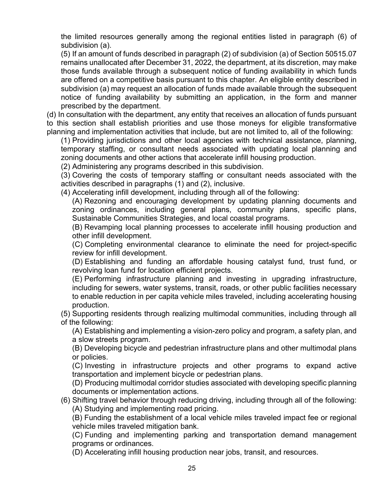the limited resources generally among the regional entities listed in paragraph (6) of subdivision (a).

(5) If an amount of funds described in paragraph (2) of subdivision (a) of Section 50515.07 remains unallocated after December 31, 2022, the department, at its discretion, may make those funds available through a subsequent notice of funding availability in which funds are offered on a competitive basis pursuant to this chapter. An eligible entity described in subdivision (a) may request an allocation of funds made available through the subsequent notice of funding availability by submitting an application, in the form and manner prescribed by the department.

(d) In consultation with the department, any entity that receives an allocation of funds pursuant to this section shall establish priorities and use those moneys for eligible transformative planning and implementation activities that include, but are not limited to, all of the following:

(1) Providing jurisdictions and other local agencies with technical assistance, planning, temporary staffing, or consultant needs associated with updating local planning and zoning documents and other actions that accelerate infill housing production.

(2) Administering any programs described in this subdivision.

(3) Covering the costs of temporary staffing or consultant needs associated with the activities described in paragraphs (1) and (2), inclusive.

(4) Accelerating infill development, including through all of the following:

(A) Rezoning and encouraging development by updating planning documents and zoning ordinances, including general plans, community plans, specific plans, Sustainable Communities Strategies, and local coastal programs.

(B) Revamping local planning processes to accelerate infill housing production and other infill development.

(C) Completing environmental clearance to eliminate the need for project-specific review for infill development.

(D) Establishing and funding an affordable housing catalyst fund, trust fund, or revolving loan fund for location efficient projects.

(E) Performing infrastructure planning and investing in upgrading infrastructure, including for sewers, water systems, transit, roads, or other public facilities necessary to enable reduction in per capita vehicle miles traveled, including accelerating housing production.

(5) Supporting residents through realizing multimodal communities, including through all of the following:

(A) Establishing and implementing a vision-zero policy and program, a safety plan, and a slow streets program.

(B) Developing bicycle and pedestrian infrastructure plans and other multimodal plans or policies.

(C) Investing in infrastructure projects and other programs to expand active transportation and implement bicycle or pedestrian plans.

(D) Producing multimodal corridor studies associated with developing specific planning documents or implementation actions.

(6) Shifting travel behavior through reducing driving, including through all of the following: (A) Studying and implementing road pricing.

(B) Funding the establishment of a local vehicle miles traveled impact fee or regional vehicle miles traveled mitigation bank.

(C) Funding and implementing parking and transportation demand management programs or ordinances.

(D) Accelerating infill housing production near jobs, transit, and resources.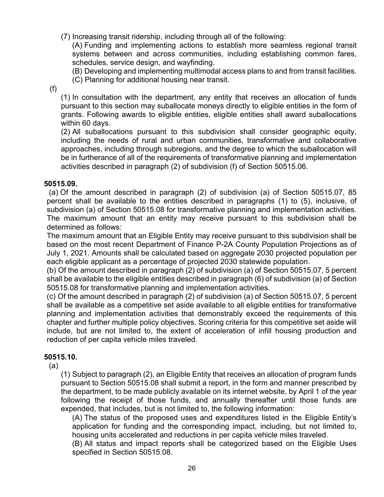(7) Increasing transit ridership, including through all of the following:

(A) Funding and implementing actions to establish more seamless regional transit systems between and across communities, including establishing common fares, schedules, service design, and wayfinding.

(B) Developing and implementing multimodal access plans to and from transit facilities.

(C) Planning for additional housing near transit.

(f)

(1) In consultation with the department, any entity that receives an allocation of funds pursuant to this section may suballocate moneys directly to eligible entities in the form of grants. Following awards to eligible entities, eligible entities shall award suballocations within 60 days.

(2) All suballocations pursuant to this subdivision shall consider geographic equity, including the needs of rural and urban communities, transformative and collaborative approaches, including through subregions, and the degree to which the suballocation will be in furtherance of all of the requirements of transformative planning and implementation activities described in paragraph (2) of subdivision (f) of Section 50515.06.

#### **50515.09.**

(a) Of the amount described in paragraph (2) of subdivision (a) of Section 50515.07, 85 percent shall be available to the entities described in paragraphs (1) to (5), inclusive, of subdivision (a) of Section 50515.08 for transformative planning and implementation activities. The maximum amount that an entity may receive pursuant to this subdivision shall be determined as follows:

The maximum amount that an Eligible Entity may receive pursuant to this subdivision shall be based on the most recent Department of Finance P-2A County Population Projections as of July 1, 2021. Amounts shall be calculated based on aggregate 2030 projected population per each eligible applicant as a percentage of projected 2030 statewide population.

(b) Of the amount described in paragraph (2) of subdivision (a) of Section 50515.07, 5 percent shall be available to the eligible entities described in paragraph (6) of subdivision (a) of Section 50515.08 for transformative planning and implementation activities.

(c) Of the amount described in paragraph (2) of subdivision (a) of Section 50515.07, 5 percent shall be available as a competitive set aside available to all eligible entities for transformative planning and implementation activities that demonstrably exceed the requirements of this chapter and further multiple policy objectives. Scoring criteria for this competitive set aside will include, but are not limited to, the extent of acceleration of infill housing production and reduction of per capita vehicle miles traveled.

#### **50515.10.**

(a)

(1) Subject to paragraph (2), an Eligible Entity that receives an allocation of program funds pursuant to Section 50515.08 shall submit a report, in the form and manner prescribed by the department, to be made publicly available on its internet website, by April 1 of the year following the receipt of those funds, and annually thereafter until those funds are expended, that includes, but is not limited to, the following information:

(A) The status of the proposed uses and expenditures listed in the Eligible Entity's application for funding and the corresponding impact, including, but not limited to, housing units accelerated and reductions in per capita vehicle miles traveled.

(B) All status and impact reports shall be categorized based on the Eligible Uses specified in Section 50515.08.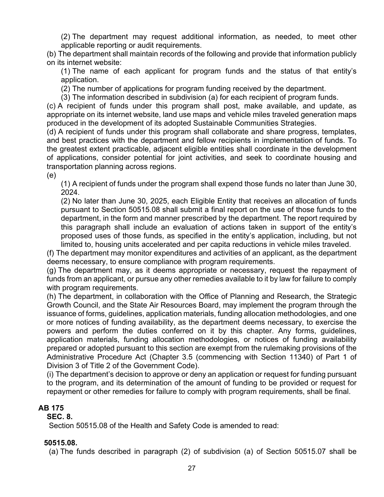(2) The department may request additional information, as needed, to meet other applicable reporting or audit requirements.

(b) The department shall maintain records of the following and provide that information publicly on its internet website:

(1) The name of each applicant for program funds and the status of that entity's application.

(2) The number of applications for program funding received by the department.

(3) The information described in subdivision (a) for each recipient of program funds.

(c) A recipient of funds under this program shall post, make available, and update, as appropriate on its internet website, land use maps and vehicle miles traveled generation maps produced in the development of its adopted Sustainable Communities Strategies.

(d) A recipient of funds under this program shall collaborate and share progress, templates, and best practices with the department and fellow recipients in implementation of funds. To the greatest extent practicable, adjacent eligible entities shall coordinate in the development of applications, consider potential for joint activities, and seek to coordinate housing and transportation planning across regions.

(e)

(1) A recipient of funds under the program shall expend those funds no later than June 30, 2024.

(2) No later than June 30, 2025, each Eligible Entity that receives an allocation of funds pursuant to Section 50515.08 shall submit a final report on the use of those funds to the department, in the form and manner prescribed by the department. The report required by this paragraph shall include an evaluation of actions taken in support of the entity's proposed uses of those funds, as specified in the entity's application, including, but not limited to, housing units accelerated and per capita reductions in vehicle miles traveled.

(f) The department may monitor expenditures and activities of an applicant, as the department deems necessary, to ensure compliance with program requirements.

(g) The department may, as it deems appropriate or necessary, request the repayment of funds from an applicant, or pursue any other remedies available to it by law for failure to comply with program requirements.

(h) The department, in collaboration with the Office of Planning and Research, the Strategic Growth Council, and the State Air Resources Board, may implement the program through the issuance of forms, guidelines, application materials, funding allocation methodologies, and one or more notices of funding availability, as the department deems necessary, to exercise the powers and perform the duties conferred on it by this chapter. Any forms, guidelines, application materials, funding allocation methodologies, or notices of funding availability prepared or adopted pursuant to this section are exempt from the rulemaking provisions of the Administrative Procedure Act (Chapter 3.5 (commencing with Section 11340) of Part 1 of Division 3 of Title 2 of the Government Code).

(i) The department's decision to approve or deny an application or request for funding pursuant to the program, and its determination of the amount of funding to be provided or request for repayment or other remedies for failure to comply with program requirements, shall be final.

#### **AB 175**

#### **SEC. 8.**

Section 50515.08 of the Health and Safety Code is amended to read:

#### **50515.08.**

(a) The funds described in paragraph (2) of subdivision (a) of Section 50515.07 shall be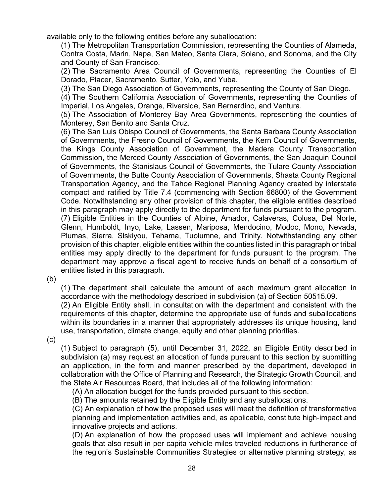available only to the following entities before any suballocation:

(1) The Metropolitan Transportation Commission, representing the Counties of Alameda, Contra Costa, Marin, Napa, San Mateo, Santa Clara, Solano, and Sonoma, and the City and County of San Francisco.

(2) The Sacramento Area Council of Governments, representing the Counties of El Dorado, Placer, Sacramento, Sutter, Yolo, and Yuba.

(3) The San Diego Association of Governments, representing the County of San Diego.

(4) The Southern California Association of Governments, representing the Counties of Imperial, Los Angeles, Orange, Riverside, San Bernardino, and Ventura.

(5) The Association of Monterey Bay Area Governments, representing the counties of Monterey, San Benito and Santa Cruz.

(6) The San Luis Obispo Council of Governments, the Santa Barbara County Association of Governments, the Fresno Council of Governments, the Kern Council of Governments, the Kings County Association of Government, the Madera County Transportation Commission, the Merced County Association of Governments, the San Joaquin Council of Governments, the Stanislaus Council of Governments, the Tulare County Association of Governments, the Butte County Association of Governments, Shasta County Regional Transportation Agency, and the Tahoe Regional Planning Agency created by interstate compact and ratified by Title 7.4 (commencing with Section 66800) of the Government Code. Notwithstanding any other provision of this chapter, the eligible entities described in this paragraph may apply directly to the department for funds pursuant to the program. (7) Eligible Entities in the Counties of Alpine, Amador, Calaveras, Colusa, Del Norte, Glenn, Humboldt, Inyo, Lake, Lassen, Mariposa, Mendocino, Modoc, Mono, Nevada, Plumas, Sierra, Siskiyou, Tehama, Tuolumne, and Trinity. Notwithstanding any other provision of this chapter, eligible entities within the counties listed in this paragraph or tribal entities may apply directly to the department for funds pursuant to the program. The department may approve a fiscal agent to receive funds on behalf of a consortium of entities listed in this paragraph.

(b)

(1) The department shall calculate the amount of each maximum grant allocation in accordance with the methodology described in subdivision (a) of Section 50515.09.

(2) An Eligible Entity shall, in consultation with the department and consistent with the requirements of this chapter, determine the appropriate use of funds and suballocations within its boundaries in a manner that appropriately addresses its unique housing, land use, transportation, climate change, equity and other planning priorities.

(c)

(1) Subject to paragraph (5), until December 31, 2022, an Eligible Entity described in subdivision (a) may request an allocation of funds pursuant to this section by submitting an application, in the form and manner prescribed by the department, developed in collaboration with the Office of Planning and Research, the Strategic Growth Council, and the State Air Resources Board, that includes all of the following information:

(A) An allocation budget for the funds provided pursuant to this section.

(B) The amounts retained by the Eligible Entity and any suballocations.

(C) An explanation of how the proposed uses will meet the definition of transformative planning and implementation activities and, as applicable, constitute high-impact and innovative projects and actions.

(D) An explanation of how the proposed uses will implement and achieve housing goals that also result in per capita vehicle miles traveled reductions in furtherance of the region's Sustainable Communities Strategies or alternative planning strategy, as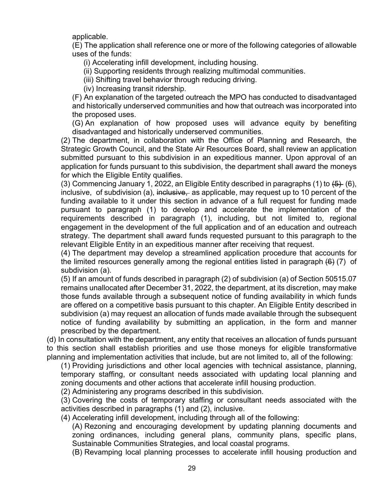applicable.

(E) The application shall reference one or more of the following categories of allowable uses of the funds:

(i) Accelerating infill development, including housing.

(ii) Supporting residents through realizing multimodal communities.

(iii) Shifting travel behavior through reducing driving.

(iv) Increasing transit ridership.

(F) An explanation of the targeted outreach the MPO has conducted to disadvantaged and historically underserved communities and how that outreach was incorporated into the proposed uses.

(G) An explanation of how proposed uses will advance equity by benefiting disadvantaged and historically underserved communities.

(2) The department, in collaboration with the Office of Planning and Research, the Strategic Growth Council, and the State Air Resources Board, shall review an application submitted pursuant to this subdivision in an expeditious manner. Upon approval of an application for funds pursuant to this subdivision, the department shall award the moneys for which the Eligible Entity qualifies.

(3) Commencing January 1, 2022, an Eligible Entity described in paragraphs (1) to  $\left(5\right)$  (6), inclusive, of subdivision (a), inclusive, as applicable, may request up to 10 percent of the funding available to it under this section in advance of a full request for funding made pursuant to paragraph (1) to develop and accelerate the implementation of the requirements described in paragraph (1), including, but not limited to, regional engagement in the development of the full application and of an education and outreach strategy. The department shall award funds requested pursuant to this paragraph to the relevant Eligible Entity in an expeditious manner after receiving that request.

(4) The department may develop a streamlined application procedure that accounts for the limited resources generally among the regional entities listed in paragraph  $(6)$  (7) of subdivision (a).

(5) If an amount of funds described in paragraph (2) of subdivision (a) of Section 50515.07 remains unallocated after December 31, 2022, the department, at its discretion, may make those funds available through a subsequent notice of funding availability in which funds are offered on a competitive basis pursuant to this chapter. An Eligible Entity described in subdivision (a) may request an allocation of funds made available through the subsequent notice of funding availability by submitting an application, in the form and manner prescribed by the department.

(d) In consultation with the department, any entity that receives an allocation of funds pursuant to this section shall establish priorities and use those moneys for eligible transformative planning and implementation activities that include, but are not limited to, all of the following:

(1) Providing jurisdictions and other local agencies with technical assistance, planning, temporary staffing, or consultant needs associated with updating local planning and zoning documents and other actions that accelerate infill housing production.

(2) Administering any programs described in this subdivision.

(3) Covering the costs of temporary staffing or consultant needs associated with the activities described in paragraphs (1) and (2), inclusive.

(4) Accelerating infill development, including through all of the following:

(A) Rezoning and encouraging development by updating planning documents and zoning ordinances, including general plans, community plans, specific plans, Sustainable Communities Strategies, and local coastal programs.

(B) Revamping local planning processes to accelerate infill housing production and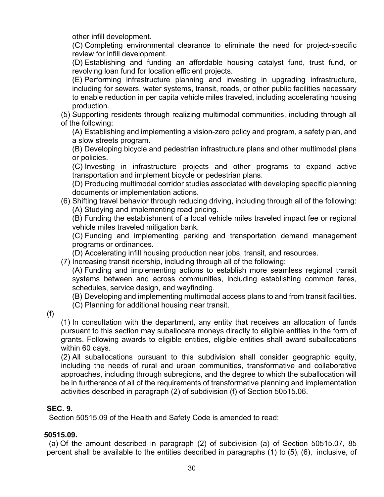other infill development.

(C) Completing environmental clearance to eliminate the need for project-specific review for infill development.

(D) Establishing and funding an affordable housing catalyst fund, trust fund, or revolving loan fund for location efficient projects.

(E) Performing infrastructure planning and investing in upgrading infrastructure, including for sewers, water systems, transit, roads, or other public facilities necessary to enable reduction in per capita vehicle miles traveled, including accelerating housing production.

(5) Supporting residents through realizing multimodal communities, including through all of the following:

(A) Establishing and implementing a vision-zero policy and program, a safety plan, and a slow streets program.

(B) Developing bicycle and pedestrian infrastructure plans and other multimodal plans or policies.

(C) Investing in infrastructure projects and other programs to expand active transportation and implement bicycle or pedestrian plans.

(D) Producing multimodal corridor studies associated with developing specific planning documents or implementation actions.

(6) Shifting travel behavior through reducing driving, including through all of the following: (A) Studying and implementing road pricing.

(B) Funding the establishment of a local vehicle miles traveled impact fee or regional vehicle miles traveled mitigation bank.

(C) Funding and implementing parking and transportation demand management programs or ordinances.

(D) Accelerating infill housing production near jobs, transit, and resources.

(7) Increasing transit ridership, including through all of the following:

(A) Funding and implementing actions to establish more seamless regional transit systems between and across communities, including establishing common fares, schedules, service design, and wayfinding.

(B) Developing and implementing multimodal access plans to and from transit facilities.

(C) Planning for additional housing near transit.

(f)

(1) In consultation with the department, any entity that receives an allocation of funds pursuant to this section may suballocate moneys directly to eligible entities in the form of grants. Following awards to eligible entities, eligible entities shall award suballocations within 60 days.

(2) All suballocations pursuant to this subdivision shall consider geographic equity, including the needs of rural and urban communities, transformative and collaborative approaches, including through subregions, and the degree to which the suballocation will be in furtherance of all of the requirements of transformative planning and implementation activities described in paragraph (2) of subdivision (f) of Section 50515.06.

#### **SEC. 9.**

Section 50515.09 of the Health and Safety Code is amended to read:

#### **50515.09.**

(a) Of the amount described in paragraph (2) of subdivision (a) of Section 50515.07, 85 percent shall be available to the entities described in paragraphs (1) to  $\left(5\right)$ ,  $\left(6\right)$ , inclusive, of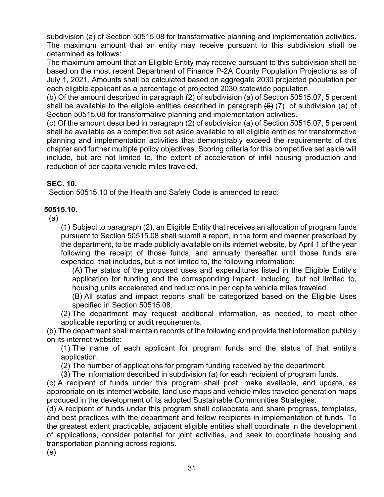subdivision (a) of Section 50515.08 for transformative planning and implementation activities. The maximum amount that an entity may receive pursuant to this subdivision shall be determined as follows:

The maximum amount that an Eligible Entity may receive pursuant to this subdivision shall be based on the most recent Department of Finance P-2A County Population Projections as of July 1, 2021. Amounts shall be calculated based on aggregate 2030 projected population per each eligible applicant as a percentage of projected 2030 statewide population.

(b) Of the amount described in paragraph (2) of subdivision (a) of Section 50515.07, 5 percent shall be available to the eligible entities described in paragraph  $(6)$  (7) of subdivision (a) of Section 50515.08 for transformative planning and implementation activities.

(c) Of the amount described in paragraph (2) of subdivision (a) of Section 50515.07, 5 percent shall be available as a competitive set aside available to all eligible entities for transformative planning and implementation activities that demonstrably exceed the requirements of this chapter and further multiple policy objectives. Scoring criteria for this competitive set aside will include, but are not limited to, the extent of acceleration of infill housing production and reduction of per capita vehicle miles traveled.

#### **SEC. 10.**

Section 50515.10 of the Health and Safety Code is amended to read:

#### **50515.10.**

(a)

(1) Subject to paragraph (2), an Eligible Entity that receives an allocation of program funds pursuant to Section 50515.08 shall submit a report, in the form and manner prescribed by the department, to be made publicly available on its internet website, by April 1 of the year following the receipt of those funds, and annually thereafter until those funds are expended, that includes, but is not limited to, the following information:

(A) The status of the proposed uses and expenditures listed in the Eligible Entity's application for funding and the corresponding impact, including, but not limited to, housing units accelerated and reductions in per capita vehicle miles traveled.

(B) All status and impact reports shall be categorized based on the Eligible Uses specified in Section 50515.08.

(2) The department may request additional information, as needed, to meet other applicable reporting or audit requirements.

(b) The department shall maintain records of the following and provide that information publicly on its internet website:

(1) The name of each applicant for program funds and the status of that entity's application.

(2) The number of applications for program funding received by the department.

(3) The information described in subdivision (a) for each recipient of program funds.

(c) A recipient of funds under this program shall post, make available, and update, as appropriate on its internet website, land use maps and vehicle miles traveled generation maps produced in the development of its adopted Sustainable Communities Strategies.

(d) A recipient of funds under this program shall collaborate and share progress, templates, and best practices with the department and fellow recipients in implementation of funds. To the greatest extent practicable, adjacent eligible entities shall coordinate in the development of applications, consider potential for joint activities, and seek to coordinate housing and transportation planning across regions.

(e)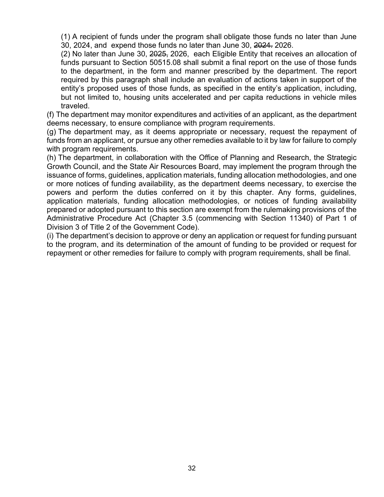(1) A recipient of funds under the program shall obligate those funds no later than June 30, 2024, and expend those funds no later than June 30, 2024. 2026.

(2) No later than June 30, 2025, 2026, each Eligible Entity that receives an allocation of funds pursuant to Section 50515.08 shall submit a final report on the use of those funds to the department, in the form and manner prescribed by the department. The report required by this paragraph shall include an evaluation of actions taken in support of the entity's proposed uses of those funds, as specified in the entity's application, including, but not limited to, housing units accelerated and per capita reductions in vehicle miles traveled.

(f) The department may monitor expenditures and activities of an applicant, as the department deems necessary, to ensure compliance with program requirements.

(g) The department may, as it deems appropriate or necessary, request the repayment of funds from an applicant, or pursue any other remedies available to it by law for failure to comply with program requirements.

(h) The department, in collaboration with the Office of Planning and Research, the Strategic Growth Council, and the State Air Resources Board, may implement the program through the issuance of forms, guidelines, application materials, funding allocation methodologies, and one or more notices of funding availability, as the department deems necessary, to exercise the powers and perform the duties conferred on it by this chapter. Any forms, guidelines, application materials, funding allocation methodologies, or notices of funding availability prepared or adopted pursuant to this section are exempt from the rulemaking provisions of the Administrative Procedure Act (Chapter 3.5 (commencing with Section 11340) of Part 1 of Division 3 of Title 2 of the Government Code).

(i) The department's decision to approve or deny an application or request for funding pursuant to the program, and its determination of the amount of funding to be provided or request for repayment or other remedies for failure to comply with program requirements, shall be final.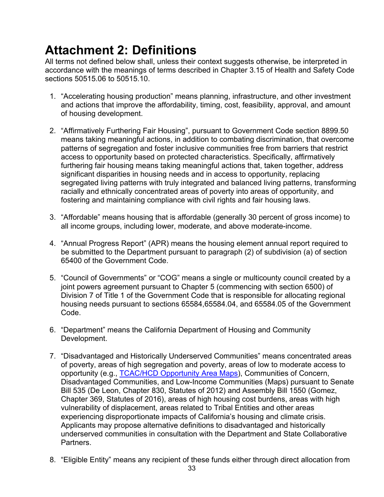# <span id="page-32-0"></span>**Attachment 2: Definitions**

All terms not defined below shall, unless their context suggests otherwise, be interpreted in accordance with the meanings of terms described in Chapter 3.15 of Health and Safety Code sections 50515.06 to 50515.10.

- 1. "Accelerating housing production" means planning, infrastructure, and other investment and actions that improve the affordability, timing, cost, feasibility, approval, and amount of housing development.
- 2. "Affirmatively Furthering Fair Housing", pursuant to Government Code section 8899.50 means taking meaningful actions, in addition to combating discrimination, that overcome patterns of segregation and foster inclusive communities free from barriers that restrict access to opportunity based on protected characteristics. Specifically, affirmatively furthering fair housing means taking meaningful actions that, taken together, address significant disparities in housing needs and in access to opportunity, replacing segregated living patterns with truly integrated and balanced living patterns, transforming racially and ethnically concentrated areas of poverty into areas of opportunity, and fostering and maintaining compliance with civil rights and fair housing laws.
- 3. "Affordable" means housing that is affordable (generally 30 percent of gross income) to all income groups, including lower, moderate, and above moderate-income.
- 4. "Annual Progress Report" (APR) means the housing element annual report required to be submitted to the Department pursuant to paragraph (2) of subdivision (a) of section 65400 of the Government Code.
- 5. "Council of Governments" or "COG" means a single or multicounty council created by a joint powers agreement pursuant to Chapter 5 (commencing with section 6500) of Division 7 of Title 1 of the Government Code that is responsible for allocating regional housing needs pursuant to sections 65584,65584.04, and 65584.05 of the Government Code.
- 6. "Department" means the California Department of Housing and Community Development.
- 7. "Disadvantaged and Historically Underserved Communities" means concentrated areas of poverty, areas of high segregation and poverty, areas of low to moderate access to opportunity (e.g., [TCAC/HCD Opportunity Area Maps\)](https://www.treasurer.ca.gov/ctcac/opportunity.asp), Communities of Concern, Disadvantaged Communities, and Low-Income Communities (Maps) pursuant to Senate Bill 535 (De Leon, Chapter 830, Statutes of 2012) and Assembly Bill 1550 (Gomez, Chapter 369, Statutes of 2016), areas of high housing cost burdens, areas with high vulnerability of displacement, areas related to Tribal Entities and other areas experiencing disproportionate impacts of California's housing and climate crisis. Applicants may propose alternative definitions to disadvantaged and historically underserved communities in consultation with the Department and State Collaborative Partners.
- 8. "Eligible Entity" means any recipient of these funds either through direct allocation from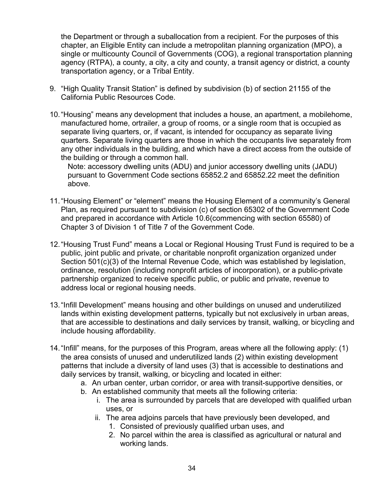the Department or through a suballocation from a recipient. For the purposes of this chapter, an Eligible Entity can include a metropolitan planning organization (MPO), a single or multicounty Council of Governments (COG), a regional transportation planning agency (RTPA), a county, a city, a city and county, a transit agency or district, a county transportation agency, or a Tribal Entity.

- 9. "High Quality Transit Station" is defined by subdivision (b) of section 21155 of the California Public Resources Code.
- 10."Housing" means any development that includes a house, an apartment, a mobilehome, manufactured home, ortrailer, a group of rooms, or a single room that is occupied as separate living quarters, or, if vacant, is intended for occupancy as separate living quarters. Separate living quarters are those in which the occupants live separately from any other individuals in the building, and which have a direct access from the outside of the building or through a common hall.

Note: accessory dwelling units (ADU) and junior accessory dwelling units (JADU) pursuant to Government Code sections 65852.2 and 65852.22 meet the definition above.

- 11."Housing Element" or "element" means the Housing Element of a community's General Plan, as required pursuant to subdivision (c) of section 65302 of the Government Code and prepared in accordance with Article 10.6(commencing with section 65580) of Chapter 3 of Division 1 of Title 7 of the Government Code.
- 12."Housing Trust Fund" means a Local or Regional Housing Trust Fund is required to be a public, joint public and private, or charitable nonprofit organization organized under Section 501(c)(3) of the Internal Revenue Code, which was established by legislation, ordinance, resolution (including nonprofit articles of incorporation), or a public-private partnership organized to receive specific public, or public and private, revenue to address local or regional housing needs.
- 13."Infill Development" means housing and other buildings on unused and underutilized lands within existing development patterns, typically but not exclusively in urban areas, that are accessible to destinations and daily services by transit, walking, or bicycling and include housing affordability.
- 14."Infill" means, for the purposes of this Program, areas where all the following apply: (1) the area consists of unused and underutilized lands (2) within existing development patterns that include a diversity of land uses (3) that is accessible to destinations and daily services by transit, walking, or bicycling and located in either:
	- a. An urban center, urban corridor, or area with transit-supportive densities, or
	- b. An established community that meets all the following criteria:
		- i. The area is surrounded by parcels that are developed with qualified urban uses, or
		- ii. The area adjoins parcels that have previously been developed, and
			- 1. Consisted of previously qualified urban uses, and
			- 2. No parcel within the area is classified as agricultural or natural and working lands.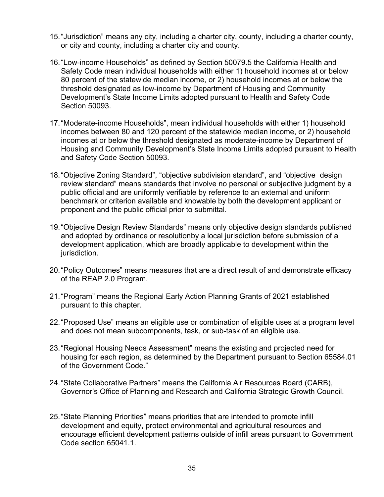- 15."Jurisdiction" means any city, including a charter city, county, including a charter county, or city and county, including a charter city and county.
- 16."Low-income Households" as defined by Section 50079.5 the California Health and Safety Code mean individual households with either 1) household incomes at or below 80 percent of the statewide median income, or 2) household incomes at or below the threshold designated as low-income by Department of Housing and Community Development's State Income Limits adopted pursuant to Health and Safety Code Section 50093.
- 17."Moderate-income Households", mean individual households with either 1) household incomes between 80 and 120 percent of the statewide median income, or 2) household incomes at or below the threshold designated as moderate-income by Department of Housing and Community Development's State Income Limits adopted pursuant to Health and Safety Code Section 50093.
- 18."Objective Zoning Standard", "objective subdivision standard", and "objective design review standard" means standards that involve no personal or subjective judgment by a public official and are uniformly verifiable by reference to an external and uniform benchmark or criterion available and knowable by both the development applicant or proponent and the public official prior to submittal.
- 19."Objective Design Review Standards" means only objective design standards published and adopted by ordinance or resolutionby a local jurisdiction before submission of a development application, which are broadly applicable to development within the jurisdiction.
- 20."Policy Outcomes" means measures that are a direct result of and demonstrate efficacy of the REAP 2.0 Program.
- 21."Program" means the Regional Early Action Planning Grants of 2021 established pursuant to this chapter.
- 22."Proposed Use" means an eligible use or combination of eligible uses at a program level and does not mean subcomponents, task, or sub-task of an eligible use.
- 23."Regional Housing Needs Assessment" means the existing and projected need for housing for each region, as determined by the Department pursuant to Section 65584.01 of the Government Code."
- 24."State Collaborative Partners" means the California Air Resources Board (CARB), Governor's Office of Planning and Research and California Strategic Growth Council.
- 25."State Planning Priorities" means priorities that are intended to promote infill development and equity, protect environmental and agricultural resources and encourage efficient development patterns outside of infill areas pursuant to Government Code section 65041.1.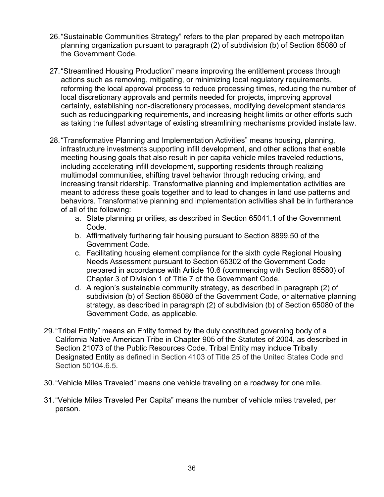- 26."Sustainable Communities Strategy" refers to the plan prepared by each metropolitan planning organization pursuant to paragraph (2) of subdivision (b) of Section 65080 of the Government Code.
- 27."Streamlined Housing Production" means improving the entitlement process through actions such as removing, mitigating, or minimizing local regulatory requirements, reforming the local approval process to reduce processing times, reducing the number of local discretionary approvals and permits needed for projects, improving approval certainty, establishing non-discretionary processes, modifying development standards such as reducingparking requirements, and increasing height limits or other efforts such as taking the fullest advantage of existing streamlining mechanisms provided instate law.
- 28."Transformative Planning and Implementation Activities" means housing, planning, infrastructure investments supporting infill development, and other actions that enable meeting housing goals that also result in per capita vehicle miles traveled reductions, including accelerating infill development, supporting residents through realizing multimodal communities, shifting travel behavior through reducing driving, and increasing transit ridership. Transformative planning and implementation activities are meant to address these goals together and to lead to changes in land use patterns and behaviors. Transformative planning and implementation activities shall be in furtherance of all of the following:
	- a. State planning priorities, as described in Section 65041.1 of the Government Code.
	- b. Affirmatively furthering fair housing pursuant to Section 8899.50 of the Government Code.
	- c. Facilitating housing element compliance for the sixth cycle Regional Housing Needs Assessment pursuant to Section 65302 of the Government Code prepared in accordance with Article 10.6 (commencing with Section 65580) of Chapter 3 of Division 1 of Title 7 of the Government Code.
	- d. A region's sustainable community strategy, as described in paragraph (2) of subdivision (b) of Section 65080 of the Government Code, or alternative planning strategy, as described in paragraph (2) of subdivision (b) of Section 65080 of the Government Code, as applicable.
- 29."Tribal Entity" means an Entity formed by the duly constituted governing body of a California Native American Tribe in Chapter 905 of the Statutes of 2004, as described in Section 21073 of the Public Resources Code. Tribal Entity may include Tribally Designated Entity as defined in Section 4103 of Title 25 of the United States Code and Section 50104.6.5.
- 30."Vehicle Miles Traveled" means one vehicle traveling on a roadway for one mile.
- 31."Vehicle Miles Traveled Per Capita" means the number of vehicle miles traveled, per person.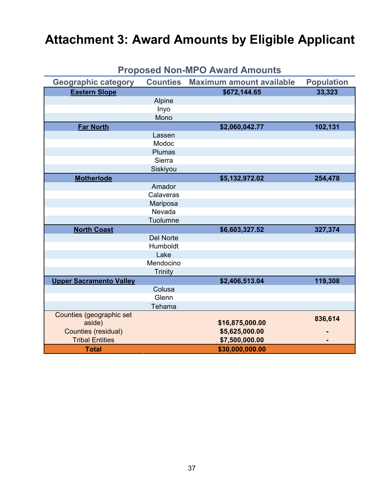# <span id="page-36-0"></span>**Attachment 3: Award Amounts by Eligible Applicant**

| <b>Geographic category</b>     | <b>Counties</b>  | <b>Maximum amount available</b> | <b>Population</b> |
|--------------------------------|------------------|---------------------------------|-------------------|
| <b>Eastern Slope</b>           |                  | \$672,144.65                    | 33,323            |
|                                | Alpine           |                                 |                   |
|                                | Inyo             |                                 |                   |
|                                | Mono             |                                 |                   |
| <b>Far North</b>               |                  | \$2,060,042.77                  | 102,131           |
|                                | Lassen           |                                 |                   |
|                                | Modoc            |                                 |                   |
|                                | Plumas           |                                 |                   |
|                                | Sierra           |                                 |                   |
|                                | Siskiyou         |                                 |                   |
| <b>Motherlode</b>              |                  | \$5,132,972.02                  | 254,478           |
|                                | Amador           |                                 |                   |
|                                | Calaveras        |                                 |                   |
|                                | Mariposa         |                                 |                   |
|                                | Nevada           |                                 |                   |
|                                | Tuolumne         |                                 |                   |
| <b>North Coast</b>             |                  | \$6,603,327.52                  | 327,374           |
|                                | <b>Del Norte</b> |                                 |                   |
|                                | Humboldt         |                                 |                   |
|                                | Lake             |                                 |                   |
|                                | Mendocino        |                                 |                   |
|                                | <b>Trinity</b>   |                                 |                   |
| <b>Upper Sacramento Valley</b> |                  | \$2,406,513.04                  | 119,308           |
|                                | Colusa           |                                 |                   |
|                                | Glenn            |                                 |                   |
|                                | Tehama           |                                 |                   |
| Counties (geographic set       |                  |                                 | 836,614           |
| aside)                         |                  | \$16,875,000.00                 |                   |
| <b>Counties (residual)</b>     |                  | \$5,625,000.00                  |                   |
| <b>Tribal Entities</b>         |                  | \$7,500,000.00                  |                   |
| <b>Total</b>                   |                  | \$30,000,000.00                 |                   |

### **Proposed Non-MPO Award Amounts**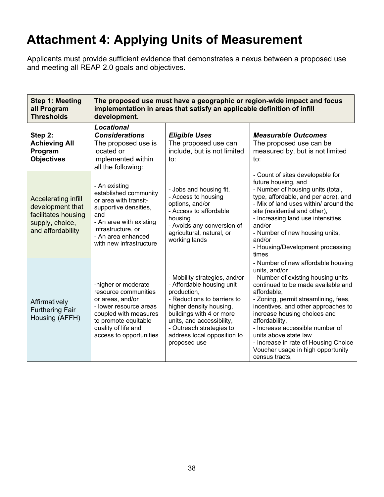# <span id="page-37-0"></span>**Attachment 4: Applying Units of Measurement**

Applicants must provide sufficient evidence that demonstrates a nexus between a proposed use and meeting all REAP 2.0 goals and objectives.

| Step 1: Meeting<br>all Program<br><b>Thresholds</b>                                                    | The proposed use must have a geographic or region-wide impact and focus<br>implementation in areas that satisfy an applicable definition of infill<br>development.                                |                                                                                                                                                                                                                                                                         |                                                                                                                                                                                                                                                                                                                                                                                                                                            |  |  |
|--------------------------------------------------------------------------------------------------------|---------------------------------------------------------------------------------------------------------------------------------------------------------------------------------------------------|-------------------------------------------------------------------------------------------------------------------------------------------------------------------------------------------------------------------------------------------------------------------------|--------------------------------------------------------------------------------------------------------------------------------------------------------------------------------------------------------------------------------------------------------------------------------------------------------------------------------------------------------------------------------------------------------------------------------------------|--|--|
| Step 2:<br><b>Achieving All</b><br>Program<br><b>Objectives</b>                                        | <b>Locational</b><br><b>Considerations</b><br>The proposed use is<br>located or<br>implemented within<br>all the following:                                                                       | <b>Eligible Uses</b><br>The proposed use can<br>include, but is not limited<br>to:                                                                                                                                                                                      | <b>Measurable Outcomes</b><br>The proposed use can be<br>measured by, but is not limited<br>to:                                                                                                                                                                                                                                                                                                                                            |  |  |
| Accelerating infill<br>development that<br>facilitates housing<br>supply, choice,<br>and affordability | - An existing<br>established community<br>or area with transit-<br>supportive densities,<br>and<br>- An area with existing<br>infrastructure, or<br>- An area enhanced<br>with new infrastructure | - Jobs and housing fit,<br>- Access to housing<br>options, and/or<br>- Access to affordable<br>housing<br>- Avoids any conversion of<br>agricultural, natural, or<br>working lands                                                                                      | - Count of sites developable for<br>future housing, and<br>- Number of housing units (total,<br>type, affordable, and per acre), and<br>- Mix of land uses within/ around the<br>site (residential and other),<br>- Increasing land use intensities,<br>and/or<br>- Number of new housing units,<br>and/or<br>- Housing/Development processing<br>times                                                                                    |  |  |
| Affirmatively<br><b>Furthering Fair</b><br>Housing (AFFH)                                              | -higher or moderate<br>resource communities<br>or areas, and/or<br>- lower resource areas<br>coupled with measures<br>to promote equitable<br>quality of life and<br>access to opportunities      | - Mobility strategies, and/or<br>- Affordable housing unit<br>production,<br>- Reductions to barriers to<br>higher density housing,<br>buildings with 4 or more<br>units, and accessibility,<br>- Outreach strategies to<br>address local opposition to<br>proposed use | - Number of new affordable housing<br>units, and/or<br>- Number of existing housing units<br>continued to be made available and<br>affordable,<br>- Zoning, permit streamlining, fees,<br>incentives, and other approaches to<br>increase housing choices and<br>affordability,<br>- Increase accessible number of<br>units above state law<br>- Increase in rate of Housing Choice<br>Voucher usage in high opportunity<br>census tracts, |  |  |